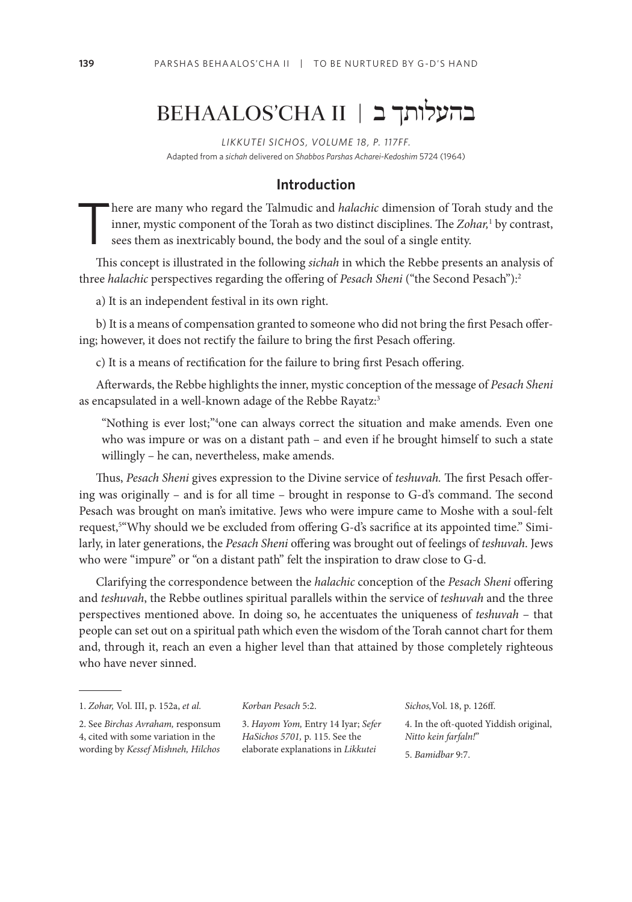# BEHAALOS'CHA II | בהעלותך ב

*LIKKUTEI SICHOS, VOLUME 18, P. 117FF.* Adapted from a *sichah* delivered on *Shabbos Parshas Acharei-Kedoshim* 5724 (1964)

### **Introduction**

here are many who regard the Talmudic and *halachic* dimension of Torah study and the inner, mystic component of the Torah as two distinct disciplines. The *Zohar,*<sup>1</sup> by contrast, sees them as inextricably bound, the body and the soul of a single entity.

This concept is illustrated in the following *sichah* in which the Rebbe presents an analysis of three *halachic* perspectives regarding the offering of *Pesach Sheni* ("the Second Pesach"):2

a) It is an independent festival in its own right.

b) It is a means of compensation granted to someone who did not bring the first Pesach offering; however, it does not rectify the failure to bring the first Pesach offering.

c) It is a means of rectification for the failure to bring first Pesach offering.

Afterwards, the Rebbe highlights the inner, mystic conception of the message of *Pesach Sheni*  as encapsulated in a well-known adage of the Rebbe Rayatz:<sup>3</sup>

"Nothing is ever lost;"4 one can always correct the situation and make amends. Even one who was impure or was on a distant path – and even if he brought himself to such a state willingly – he can, nevertheless, make amends.

Thus, *Pesach Sheni* gives expression to the Divine service of *teshuvah.* The first Pesach offering was originally – and is for all time – brought in response to G-d's command. The second Pesach was brought on man's imitative. Jews who were impure came to Moshe with a soul-felt request,5 "Why should we be excluded from offering G-d's sacrifice at its appointed time." Similarly, in later generations, the *Pesach Sheni* offering was brought out of feelings of *teshuvah*. Jews who were "impure" or "on a distant path" felt the inspiration to draw close to G-d.

Clarifying the correspondence between the *halachic* conception of the *Pesach Sheni* offering and *teshuvah*, the Rebbe outlines spiritual parallels within the service of *teshuvah* and the three perspectives mentioned above. In doing so, he accentuates the uniqueness of *teshuvah* – that people can set out on a spiritual path which even the wisdom of the Torah cannot chart for them and, through it, reach an even a higher level than that attained by those completely righteous who have never sinned.

2. See *Birchas Avraham,* responsum 4, cited with some variation in the wording by *Kessef Mishneh, Hilchos* 

3. *Hayom Yom,* Entry 14 Iyar; *Sefer HaSichos 5701,* p. 115. See the

*Korban Pesach* 5:2.

elaborate explanations in *Likkutei* 

*Sichos,*Vol. 18, p. 126ff. 4. In the oft-quoted Yiddish original, *Nitto kein farfaln!*" 5. *Bamidbar* 9:7.

<sup>1.</sup> *Zohar,* Vol. III, p. 152a, *et al.*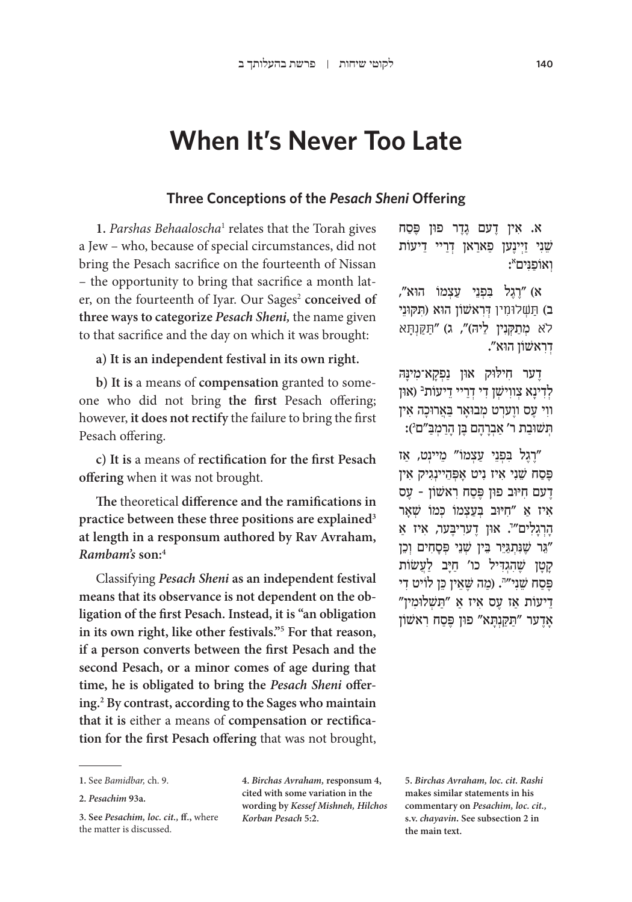# **When It's Never Too Late**

### **Three Conceptions of the** *Pesach Sheni* **Offering**

1. Parshas Behaaloscha<sup>1</sup> relates that the Torah gives a Jew – who, because of special circumstances, did not bring the Pesach sacrifice on the fourteenth of Nissan – the opportunity to bring that sacrifice a month later, on the fourteenth of Iyar. Our Sages<sup>2</sup> conceived of **three ways to categorize** *Pesach Sheni,* the name given to that sacrifice and the day on which it was brought:

**a) It is an independent festival in its own right.**

**b) It is** a means of **compensation** granted to someone who did not bring **the first** Pesach offering; however, **it does not rectify** the failure to bring the first Pesach offering.

**c) It is** a means of **rectification for the first Pesach offering** when it was not brought.

**The** theoretical **difference and the ramifications in practice between these three positions are explained3 at length in a responsum authored by Rav Avraham,**  *Rambam's* **son:4**

Classifying *Pesach Sheni* **as an independent festival means that its observance is not dependent on the obligation of the first Pesach. Instead, it is "an obligation in its own right, like other festivals."5 For that reason, if a person converts between the first Pesach and the second Pesach, or a minor comes of age during that time, he is obligated to bring the** *Pesach Sheni* **offering.2 By contrast, according to the Sages who maintain that it is** either a means of **compensation or rectification for the first Pesach offering** that was not brought,

א) ״רגל בפני עצמו הוא״, ב) תַּשׁלוּמִין דִראשׁוֹן הוא (תקוּני ֿלֹא מִתַּקְנִין לֵיה)", ג) "תַּקֵּנְתַּא ְדִר ּ אשׁ וֹ ן הוא".

ָדַער חִילוּק און נַפְקַא־מִינַּה לְדִינָא צְווִישְׁן דִי דְרַיי דֵיעוֹת<sup>ַבּ</sup> (און ִוו ֶ י ע ֶס וו ְער ְט מ ּבוָא ַּר בֲא ּרוָכ ִה אין ּתְּשׁוּבַת ר׳ אַבְרָהָם בֶּן הָרַמְּבַּ״ם<sup>ֵ</sup>):

רֶגל בּפַנֵי עצמוֹ" מֵיינַט, אז פֶּסַח שֵׁנִי איז נִיט אַפְּהֵיינְגִיק אִין ֶד ִ עם ח ּיּו ּ ב פון פֶּ ַס ִח ר ֶ אשׁ וֹ ן – עס איז אַ "חיוב בְעַצְמוֹ כִּמוֹ שָׁאר הָרְגָלִים‴. אוּן דֶערִיבֶּער, אִיז אַ ֵּ"גר שֶׁ ִנּ ְתַּגּיֵ ֵּ ר בין שׁ ְ ֵני פְּ ָס ִח ְ ים וֵכן ַקְטן שֶׁהגִדיל כו' חיִב לִעַשׂוֹת ּפֶּסַח שֵׁנִי״יׂ. (מַה שֶׁאֵין כֵּן לוֹיט דִי ֵד ַ יעוֹ ת א ֶ ז ע ִס א ַ יז א ַּ "תשׁ ְ ּלו ִמין" אַדָער "תַקַנְתַא" פון פֵּסַח ראשׁוֹן

**4.** *Birchas Avraham,* **responsum 4, cited with some variation in the wording by** *Kessef Mishneh, Hilchos Korban Pesach* **5:2.**

**5.** *Birchas Avraham, loc. cit. Rashi*  **makes similar statements in his commentary on** *Pesachim, loc. cit.,*  **s.v.** *chayavin.* **See subsection 2 in the main text.**

<sup>ִ</sup> א. א ֶ ין ד ֶ עם גֶד ּ ר פון פֶּ ַסח שֵׁנִי זַיִּינֵען פַארַאן דְרַיי דֵיעוֹת :אוֹפַנִּים

**<sup>1.</sup>** See *Bamidbar,* ch. 9.

**<sup>2.</sup>** *Pesachim* **93a.**

**<sup>3.</sup> See** *Pesachim, loc. cit.,* **ff.,** where the matter is discussed.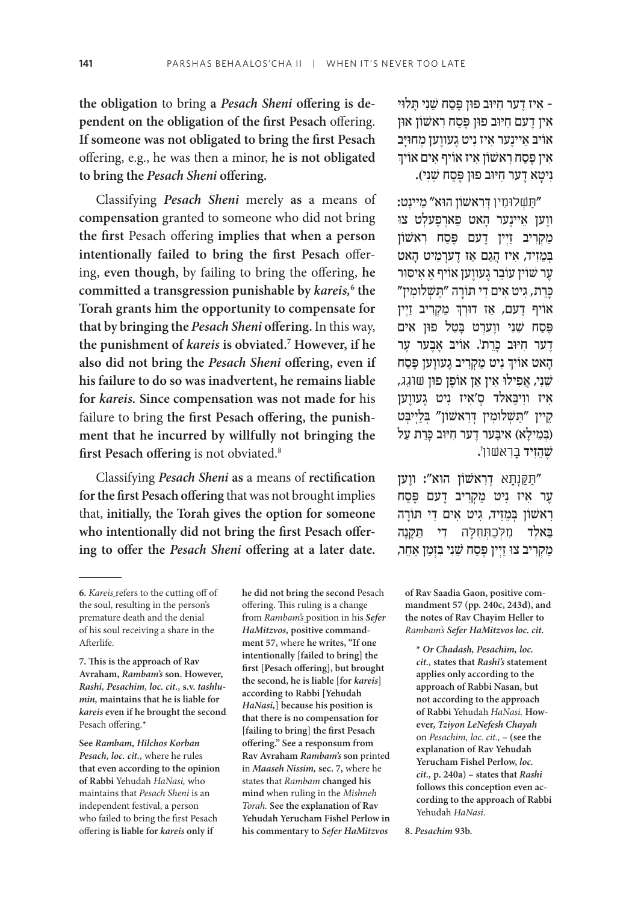**the obligation** to bring **a** *Pesach Sheni* **offering is dependent on the obligation of the first Pesach** offering. **If someone was not obligated to bring the first Pesach**  offering, e.g., he was then a minor, **he is not obligated to bring the** *Pesach Sheni* **offering.**

Classifying *Pesach Sheni* merely **as** a means of **compensation** granted to someone who did not bring **the first** Pesach offering **implies that when a person intentionally failed to bring the first Pesach** offering, **even though,** by failing to bring the offering, **he committed a transgression punishable by** *kareis,***<sup>6</sup> the Torah grants him the opportunity to compensate for that by bringing the** *Pesach Sheni* **offering.** In this way, **the punishment of** *kareis* **is obviated.7 However, if he also did not bring the** *Pesach Sheni* **offering, even if his failure to do so was inadvertent, he remains liable for** *kareis.* **Since compensation was not made for** his failure to bring **the first Pesach offering, the punishment that he incurred by willfully not bringing the first Pesach offering** is not obviated.8

Classifying *Pesach Sheni* **as** a means of **rectification for the first Pesach offering** that was not brought implies that, **initially, the Torah gives the option for someone who intentionally did not bring the first Pesach offering to offer the** *Pesach Sheni* **offering at a later date.**

**7. This is the approach of Rav Avraham,** *Rambam's* **son. However,**  *Rashi, Pesachim, loc. cit.,* **s.v.** *tashlumin,* **maintains that he is liable for**  *kareis* **even if he brought the second**  Pesach offering.\*

**See** *Rambam, Hilchos Korban Pesach, loc. cit.,* where he rules **that even according to the opinion of Rabbi** Yehudah *HaNasi,* who maintains that *Pesach Sheni* is an independent festival, a person who failed to bring the first Pesach offering **is liable for** *kareis* **only if** 

**he did not bring the second** Pesach offering. This ruling is a change from *Rambam's* position in his *Sefer HaMitzvos,* **positive commandment 57,** where **he writes, "If one intentionally [failed to bring] the first [Pesach offering], but brought the second, he is liable [for** *kareis***] according to Rabbi [Yehudah**  *HaNasi,***] because his position is that there is no compensation for [failing to bring] the first Pesach offering." See a responsum from Rav Avraham** *Rambam's* **son** printed in *Maaseh Nissim,* **sec. 7,** where he states that *Rambam* **changed his mind** when ruling in the *Mishneh Torah.* **See the explanation of Rav Yehudah Yerucham Fishel Perlow in his commentary to** *Sefer HaMitzvos* 

ִ– א ֶ יז ד ִ ער ח ּיּו ּ ב פון פֶּ ַסח שֵׁ ִנ ָּ י ת ּלוי אין דעם חיּוב פון פּסח ראשׁון און אויב איינער איז ניט געווען מחויַב אין פֶּסַח ראשון איז אויף אים אויך ַנִיטָא דָער חִיּוּב פון פֶּסַח שֵׁנִי).

" ַּת ְׁשלּו ִמין ְ ּ דִר ּ אשׁ וֹ ן הו ֵ א" מ ְ יינט: ווַען אַיינער האט פארפעלט צו מַקְרִיב זַיִין דֵעם פֵּסַח רְאֹשׁוֹן בְּמֵזִיד, אִיז הֲגָם אַז דֵערְמִיט הָאט ַעֲר שׁוֹין עוֹבֵר גֵעווֵען אוֹיף אַ אִיסוּר ָכֵּרְת, גיט אים די תורה ״תשלוּמין״ ְאויף דָעם, אַז דוּרְךְ מַקְרִיב זַיְין פֵּסַח שֵׁנִי ווֵערִט בַּטֵל פוּן אִים ָדָער חִיּוּב כָּרֵת<sup>י</sup>. אוֹיבּ אָבֶער עֶר ֧֧֧֢ׅ֧֢ׅ֧֚֝<u>֓</u> הָאט אויך ניט מַקְרִיב גֶעווֶען פֶּסַח שֵׁנִי, אֲפִילוּ אִין אַן אוֹפֵן פון שוֹגֵג, ִא ִ יז וו ַּיב ְ אלד ס ִ'א ִ יז נ ֶ יט ג ֶעווען קיין "תַשִׁלוּמִין דִּרְאשׁוֹן" בִּלַיִיבִט (בִּמֵילַא) אִיבֵער דֵער חִיּוּב כַּרֵת עַל שֶׁהֵזִיד בָּרִאשׁוֹן<sup>י</sup>.

" ַּתַּקְנ ָּתא ְ דִר ּ אשׁ וֹ ן הו ֶ א": ווען ַעֲר אִיז נִיט מַקְרִיב דָעם פֶּסַח רְאשׁוֹן בִמְזִיד, גִיט אִים דִי תּוֹרַה ַבאלד מלכתחלה די תקנה ַמַּקְרִיב צוּ זַיִּין פֵּסַח שֵׁנִי בִּזְמַן אַחֶר,

**of Rav Saadia Gaon, positive commandment 57 (pp. 240c, 243d), and the notes of Rav Chayim Heller to**  *Rambam's Sefer HaMitzvos loc. cit.*

**\*** *Or Chadash, Pesachim, loc. cit.,* **states that** *Rashi's* **statement applies only according to the approach of Rabbi Nasan, but not according to the approach of Rabbi** Yehudah *HaNasi.* **However,** *Tziyon LeNefesh Chayah*  on *Pesachim, loc. cit.,* **– (see the explanation of Rav Yehudah Yerucham Fishel Perlow,** *loc. cit.,* **p. 240a) – states that** *Rashi*  **follows this conception even according to the approach of Rabbi**  Yehudah *HaNasi.*

**8.** *Pesachim* **93b.**

**<sup>6.</sup>** *Kareis* refers to the cutting off of the soul, resulting in the person's premature death and the denial of his soul receiving a share in the Afterlife.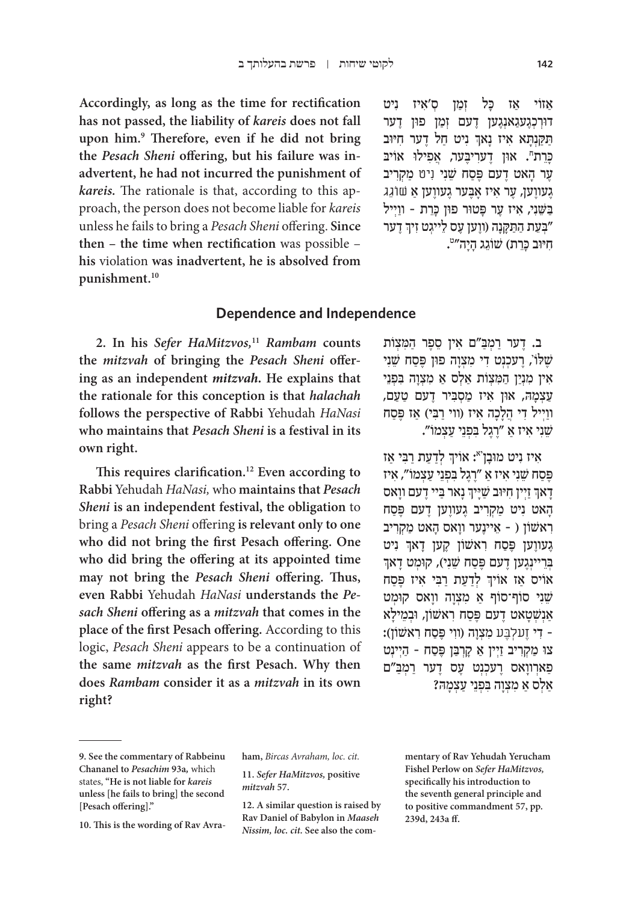**Accordingly, as long as the time for rectification has not passed, the liability of** *kareis* **does not fall upon him.9 Therefore, even if he did not bring the** *Pesach Sheni* **offering, but his failure was inadvertent, he had not incurred the punishment of**  *kareis.* The rationale is that, according to this approach, the person does not become liable for *kareis*  unless he fails to bring a *Pesach Sheni* offering. **Since then – the time when rectification** was possible – **his** violation **was inadvertent, he is absolved from punishment.10**

אזוֹי אז כּל זמן ס׳איז ניט ּדוְרְכֶג ַעג ְאנֶג ֶ ען ד ְ עם זַמ ּ ן פו ֶ ן דער ֧֖֖֖֖֖֖֖֖֖ׅ֧ׅ֖ׅ֖֧֧ׅ֧֧ׅ֧֧֧֧֧֚֚֚֚֚֚֚֚֚֚֚֚֚֚֚֝֬֝֝֟֓֝֬֓֝֬֝֬֓֓֝֬֝֬֝֬֝֬֝֬ תַקַנְתָא אִיז נָאךְ נִיט חַל דֶער חִיּוּב כְּרֵת". אוּן דֶערִיבֶּער, אֲפִילוּ אוֹיב ֶע ָר ה ֶ אט דעם פֶּ ַסח שֵׁ ִני ִניט ַ מ ְקִריב ָגעווַען, עֵר אִיז אַבֵּער גֵעווֵען אַ שוֹגְג ַבְּשֵׁנִי, אִיז עָר פַּטוּר פוּן כַּרֵת - ווַיִּיל ֧֧֧֢ׅ֧֚֝<u>֓</u> יִבְּעֵת הַתַּקָנָה (ווֶען עֶס לֵייגְט זִיךְ דֶער**ְ"** חִיּוּב כְּרֵת) שׁוֹגֵג הָיָה‴<mark>".</mark>

### **Dependence and Independence**

**2. In his** *Sefer HaMitzvos,***<sup>11</sup>** *Rambam* **counts the** *mitzvah* **of bringing the** *Pesach Sheni* **offering as an independent** *mitzvah.* **He explains that the rationale for this conception is that** *halachah*  **follows the perspective of Rabbi** Yehudah *HaNasi* **who maintains that** *Pesach Sheni* **is a festival in its own right.**

**This requires clarification.12 Even according to Rabbi** Yehudah *HaNasi,* who **maintains that** *Pesach Sheni* **is an independent festival, the obligation** to bring a *Pesach Sheni* offering **is relevant only to one who did not bring the first Pesach offering. One who did bring the offering at its appointed time may not bring the** *Pesach Sheni* **offering. Thus, even Rabbi** Yehudah *HaNasi* **understands the** *Pesach Sheni* **offering as a** *mitzvah* **that comes in the place of the first Pesach offering.** According to this logic, *Pesach Sheni* appears to be a continuation of **the same** *mitzvah* **as the first Pesach. Why then does** *Rambam* **consider it as a** *mitzvah* **in its own right?**

ב. דֵער רַמְבַ"ם אִין סֶפֶר הַמְצִוֹת שֶׁלּוֹ', רֶעכְנְט דִי מִצְוָה פוּן פֶּסַח שֵׁנִי אין מִנְיַן הַמִּצְוֹת אַלְס אַ מִצְוָה בְּפָנֵי ַעֲצְמָה, און אִיז מַסְבְּיר דֵעם טַעַם, וויִיל די הַלְכָה איז (ווי רִבִּי) אז פֵּסח שֵׁ ִנ ִ י א ַ יז א ֶ "רֶג ִּל ב ְפֵנ ַ י ע ְצמוֹ ".

ְאִיז נִיט מוּבָן<sup>יא</sup>: אוֹיךְ לְדַעַת רַבִּי אַז פֶּ ַסח שֵׁ ִנ ִ י א ַ יז א ֶ "רֶג ִּל ב ְפֵנ ַ י ע ְצ ִ מוֹ ", איז ׇׅ֧֧֧֦֧֢ׅ֖֧֪֦֧֦֧֦֧֦֧֓֝֬֓֓֓֓֓֓֡֓֓֬֓֓֡֬֓֓֬֓֓ ָדָאךְ זַיְין חִיּוּב שַׁיָּיךְ נָאר בַּיי דֶעם ווָאס ׇׅ֧֧֧֦֧֢ׅ֖֧֪֦֧֦֧֦֧֦֧֓֝֬֓֓֓֓֓֓֡֓֓֬֓֓֡֬֓֓֬֓֓ ָהָאט נִיט מַקְרִיב גֵעווֶען דָעם פֵּסַח ִר ֵ אשׁ וֹ ן ) – א ֶ יינ ָ ער וו ָ אס ה ַ אט מ ְקִריב ְגָעווָען פֶּסַח רִאשׁוֹן קֶען דָאךְ נִיט<br>בריינגעו דעם פּסח שני). קומט דאך בְרִיינְגֵען דָעם פֵּסַח שֵׁנִי), קוּמִט דַאך ׇׅ֧֧֧֦֧֢ׅ֧֓֝֬֓֓֓֓֓<u>֓</u> אויס אַז אויך לְדַעַת רַבִּי אִיז פֶּסַח שֵׁני סוֹף־סוֹף א מצוה וואס קומט אנשטאט דעם פסח ראשון, ובמילא - דִי זֵעלְבֶּע מְצָוַה (ווִי פֵּסַח רְאשׁוֹן): צו מַקְרִיב זַיִין אַ קַרְבַּן פֵּסַח - הַיִינִט ַפְארְווַאס רֻעֹכְנְט עֵס דֻער רַמְבַּ"ם ַ אַלְס אַ מְצָוַה בְּפְנֵי עַצָמַה?

**12. A similar question is raised by Rav Daniel of Babylon in** *Maaseh Nissim, loc. cit.* **See also the com-** **mentary of Rav Yehudah Yerucham Fishel Perlow on** *Sefer HaMitzvos,* **specifically his introduction to the seventh general principle and to positive commandment 57, pp. 239d, 243a ff.**

**<sup>9.</sup> See the commentary of Rabbeinu Chananel to** *Pesachim* **93a***,* which states, **"He is not liable for** *kareis* **unless [he fails to bring] the second [Pesach offering]."**

**<sup>10.</sup> This is the wording of Rav Avra-**

**ham,** *Bircas Avraham, loc. cit.*

**<sup>11.</sup>** *Sefer HaMitzvos,* **positive**  *mitzvah* **57.**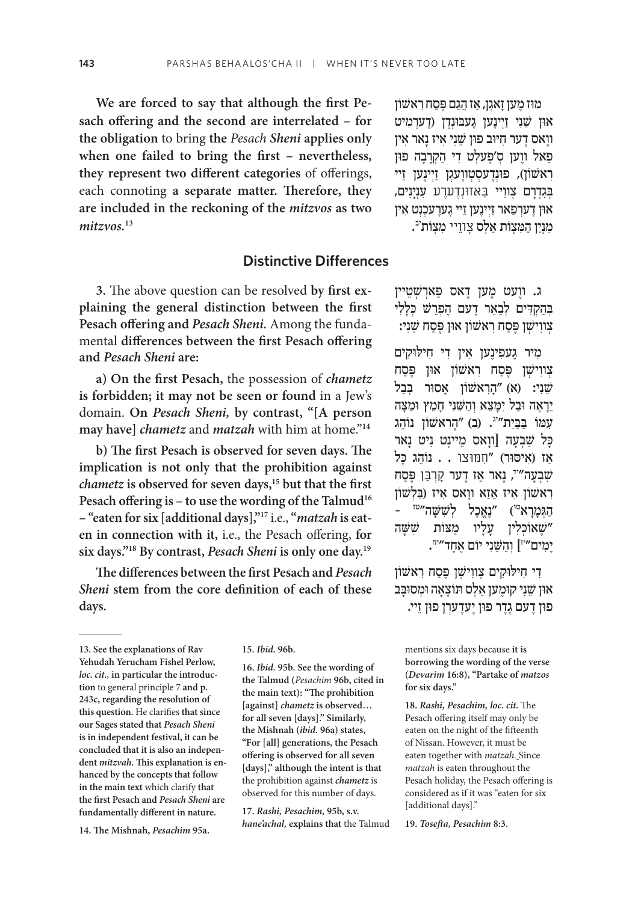**We are forced to say that although the first Pesach offering and the second are interrelated – for the obligation** to bring **the** *Pesach Sheni* **applies only when one failed to bring the first – nevertheless, they represent two different categories** of offerings, each connoting **a separate matter. Therefore, they are included in the reckoning of the** *mitzvos* **as two**  *mitzvos.***<sup>13</sup>**

## **Distinctive Differences**

**3.** The above question can be resolved **by first explaining the general distinction between the first Pesach offering and** *Pesach Sheni.* Among the fundamental **differences between the first Pesach offering and** *Pesach Sheni* **are:**

**a) On the first Pesach,** the possession of *chametz*  **is forbidden; it may not be seen or found** in a Jew's domain. **On** *Pesach Sheni,* **by contrast, "[A person may have]** *chametz* and *matzah* with him at home."**<sup>14</sup>**

**b) The first Pesach is observed for seven days. The implication is not only that the prohibition against**  *chametz* **is observed for seven days,15 but that the first**  Pesach offering is – to use the wording of the Talmud<sup>16</sup> **– "eaten for six [additional days],"17** i.e., **"***matzah* **is eaten in connection with it,** i.e., the Pesach offering, **for six days."18 By contrast,** *Pesach Sheni* **is only one day.19**

**The differences between the first Pesach and** *Pesach Sheni* **stem from the core definition of each of these days.**

**14. The Mishnah,** *Pesachim* **95a.**

**15.** *Ibid.* **96b.**

**16.** *Ibid.* **95b. See the wording of the Talmud (***Pesachim* **96b, cited in the main text): "The prohibition [against]** *chametz* **is observed… for all seven [days]." Similarly, the Mishnah (***ibid.* **96a) states, "For [all] generations, the Pesach offering is observed for all seven [days]," although the intent is that**  the prohibition against *chametz* is observed for this number of days.

**17.** *Rashi, Pesachim,* **95b, s.v.**  *hane'achal,* **explains that** the Talmud

ּמו ֶז מ ָען ז ְאג ַ ן, א ֲז הַגם פֶּ ַס ִח ראשׁ וֹ ן און שֵׁנִי <u>זַיִ</u>ינֵען געבוּנְדִן (דֵערְמִיט ָוו ֶ אס ד ִ ער ח ּיּו ּ ב פון שֵׁ ִנ ִ י א ָ יז נ ִ אר אין ַפְאל ווֵען סְ׳פֵעלִט דִי הַקְרַבָה פון יִר ווֹ ווֹ ן וְינֵען זיינען זיינען ְּבִגְדָר ְ ם צ ֵוויי ַּבאזּוְנֶד ֶערע ִ עְנָיִנים, און דָערִפ**ַאר זַיִינָען ז**יי גָערֻעכִנִט אִין מִנְיַן הַמִּצְוֹת אַלְס צְווֵיי מִצְוֹת<sup>ִיב</sup>.

ֶ ג. וו ֶ עט מ ָ ען ד ַ אס פ ְארשׁ ְ ֵטיין בְּהַקְדִּים לְבָאֵר דֵעם הַפְרֵשׁ כִּלַלִי ְצ ִווישׁ ְ ן פֶּ ַס ִח ר ּ אשׁ וֹ ן און פֶּ ַסח שֵׁ ִני:

מִיר גֵעפִינֵען אִין דִי חִילוּקִים ְצווישׁן פֵּסח ראשון און פֵּסח שֵׁנִי: (א) "הַרְאשׁוֹן אַסוּר בְּבַל ֵיָרֶא ּה וַב ִל י ָּמֵצ ְא וַהשֵּׁ ִנ ָ י חֵמ ּץ וַמָּצה עמו בבית"<sup>יג</sup>. (ב) "הראשון נוהג ַכָּל שָׁבְעָה [ווַאס מֵיינִט נִיט נַאר ֹאַז (אִיסוּר) "חִמּוּצוֹ . . נוֹהֵג כּל שִׁבְעָה"", נָאר אַז דָער קָרְבַּן פֵּסַח ראשון איז אַזא וואס איז (בִלְשׁוֹן - הַגְּמַרַא<sup>טו</sup>) ״נֵאֱכַל לְשָׁשָׁה״<sup>טז</sup> שֵׁ אוֹכָלין עליו מצות ששׁה" יְמִים״י] וְהַשֵּׁנִי יוֹם אֶחָד״".

ִד ִ י ח ּיל ּו ִק ְ ים צ ִווישׁ ְ ן פֶּ ַס ִח ראשׁ וֹ ן ּאון שֵׁ ִנ ּ י קוֶמ ַ ען א ְל ּס ת ָוֹ צָא ּה ו ְמ ּסוָּבב ָפוּן דעם גֶדֶר פוּן יַעדֻערִן פוּן זֵיי.

mentions six days because **it is borrowing the wording of the verse (***Devarim* **16:8), "Partake of** *matzos*  **for six days."**

**18.** *Rashi, Pesachim, loc. cit.* The Pesach offering itself may only be eaten on the night of the fifteenth of Nissan. However, it must be eaten together with *matzah.* Since *matzah* is eaten throughout the Pesach holiday, the Pesach offering is considered as if it was "eaten for six [additional days]."

**19.** *Tosefta, Pesachim* **8:3.**

**<sup>13.</sup> See the explanations of Rav Yehudah Yerucham Fishel Perlow,** *loc. cit.,* **in particular the introduction** to general principle 7 **and p. 243c, regarding the resolution of this question.** He clarifies **that since our Sages stated that** *Pesach Sheni*  **is in independent festival, it can be concluded that it is also an independent** *mitzvah.* **This explanation is enhanced by the concepts that follow in the main text** which clarify **that the first Pesach and** *Pesach Sheni* **are fundamentally different in nature.**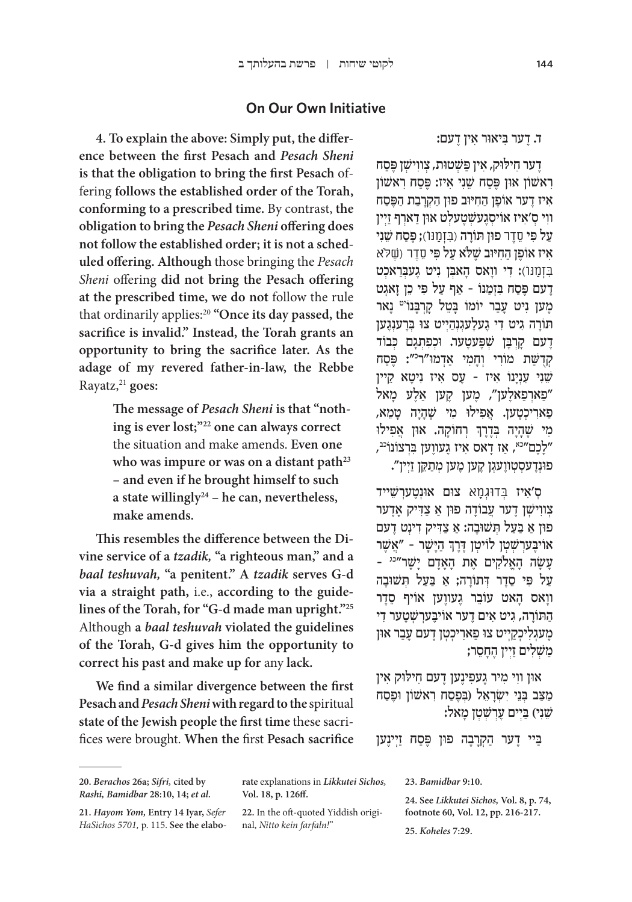### **On Our Own Initiative**

**4. To explain the above: Simply put, the difference between the first Pesach and** *Pesach Sheni*  **is that the obligation to bring the first Pesach** offering **follows the established order of the Torah, conforming to a prescribed time.** By contrast, **the obligation to bring the** *Pesach Sheni* **offering does not follow the established order; it is not a scheduled offering. Although** those bringing the *Pesach Sheni* offering **did not bring the Pesach offering at the prescribed time, we do not** follow the rule that ordinarily applies: <sup>20</sup> **"Once its day passed, the sacrifice is invalid." Instead, the Torah grants an opportunity to bring the sacrifice later. As the adage of my revered father-in-law, the Rebbe** Rayatz, <sup>21</sup> **goes:**

> **The message of** *Pesach Sheni* **is that "nothing is ever lost;"22 one can always correct**  the situation and make amends. **Even one who was impure or was on a distant path23 – and even if he brought himself to such a state willingly24 – he can, nevertheless, make amends.**

**This resembles the difference between the Divine service of a** *tzadik,* **"a righteous man," and a**  *baal teshuvah,* **"a penitent." A** *tzadik* **serves G-d via a straight path,** i.e., **according to the guidelines of the Torah, for "G-d made man upright."25** Although **a** *baal teshuvah* **violated the guidelines of the Torah, G-d gives him the opportunity to correct his past and make up for** any **lack.**

**We find a similar divergence between the first Pesach and** *Pesach Sheni* **with regard to the** spiritual **state of the Jewish people the first time** these sacrifices were brought. **When the** first **Pesach sacrifice**

ֶד ִ ער ח ּיל ּו ִק, אין פַּ שׁ ְ ּטו ְת, צ ִווישׁ ְ ן פֶּ ַסח ראשון און פּסח שני איז: פּסח ראשון אִיז דֵער אוֹפֵן הַחְיּוּב פוּן הַקְרַבָת הַפֵּסַח ווי ס׳איז אויסגעשטעלט און דארף <u>זי</u>ין ַעל פִּ י ֵסֶדר ּ פו ּ ן ת ָוֹ רה ) ִּבְז ַמּנוֹ(; פֶּ ַסח שֵׁ ִני אִיז אוֹפֵן הַחִיּוּב שֵׁלֹא עַל פִּי סֵדֵר (שֵׁלֹא ּבְזְמַנּוֹ): דִי ווַאס הַאבְן נִיט גֵעַבְרַאכְט ֶדעם פֶּ ַס ִּח בְזַמ ַ נּוֹ – א ַף על פִּ ֵ י כ ָ ן ז ְאגט מֶען נִיט עָבַר יוֹמוֹ בָּטֵל קַרְבַּנוֹ<sup>יט</sup> נַאר תּוֹרַה גִיט דִי גֵעלֶעגִנְהַיִיט צו בְּרֶענְגֶען ָדָעם קַרְבָּן שִׁפֶּעטֶער. וּכִפְתְגָם כִּבוֹד קְדֻשַּׁת מוֹרִי וְחָמִי אַדְמו"ר־׳׳: פֶּסַח שֵׁ ִנ ִ י עְנָי ִ נוֹ א ֶ יז – ע ִ ס א ִ יז נ ָיט ֵ א קיין פֿארְפַאלֶען", מֶען קֶען אַלֶע מָאל" ַפְאַרִיכְטֶעַן. אֲפִילוּ מִי שֶׁהָיָה טַמֵא, ׇׅ֧֧֧֦֧֢ׅ֧֓֝֬֓֓֓֓֓<u>֓</u> ְמִי שֶׁהָיָה בְּדֶרֶךְ רְחוֹקָה. אוּן אֲפִילוּ "לַכֵם"<sup>כא</sup>, אַז דַאס אִיז גֻעווַען בִּרְצוֹנוֹ<sup>יב</sup>, ּפוְנֶד ְעס ְט ֶוו ְעג ֶ ן ק ֶ ען מ ְ ען מַת ֵּק ַן זְיין".

ָס'אִיז בְּדוּגְוַא צוּם אוּנְטֻעַרְשֵׁייד יוישן דער עַבוֹדָה פון אַ צַדִיק אַדער ּפו ַ ן א ַּ בַע ְּל ת ּשׁ וָב ַ ה: א ַ צִ ּד ִ יק ד ְינ ֶט דעם ְאוֹיבָע*ּרְשְׁטְן לוֹיטְן דֶרֶךְ הַיָּשָׁר* - "אֲשֶׁר ָע ָשׂ ָ ה הֱא ִלֹק ֶ ים א ָ ת הָאָד ָם ישָׁ ר"כג – ַ על פּי סדר דתורה; א בעל תשובה ווַאס הַאט עוֹבֶר גֵעווַען אוֹיף סֶדֶר ָהַתּוֹרָה, גִיט אִים דָער אוֹיבֵערְשְׁטֻער דִי מֵעגִלְיכְקַיִיט צו פַארִיכְטִן דֶעם עָבַר און ַמַּשְׁלִים זַיִין הֶחָסֵר;

און ווי מיר געפינען דעם חילוק אין ַמַּצֵב בְּנֵי יְשָׂרָאֵל (בִפֵסַח רְאשׁוֹן וּפֵסַח :שֵׁנִי) בַּיִים עֶרְשָׁטְן מַאל

ַבִּיי דָער הַקְרַבָה פוּן פֵּסַח זַיִינֵען

**25.** *Koheles* **7:29.**

<sup>ָ</sup>ד. דער ביאור אין דעם:

**<sup>20.</sup>** *Berachos* **26a;** *Sifri,* **cited by**  *Rashi, Bamidbar* **28:10, 14;** *et al.*

**<sup>21.</sup>** *Hayom Yom,* **Entry 14 Iyar,** *Sefer HaSichos 5701,* p. 115. **See the elabo-**

**rate** explanations in *Likkutei Sichos,*  **Vol. 18, p. 126ff.**

**<sup>22.</sup>** In the oft-quoted Yiddish original, *Nitto kein farfaln!*"

**<sup>23.</sup>** *Bamidbar* **9:10.**

**<sup>24.</sup> See** *Likkutei Sichos,* **Vol. 8, p. 74, footnote 60, Vol. 12, pp. 216-217.**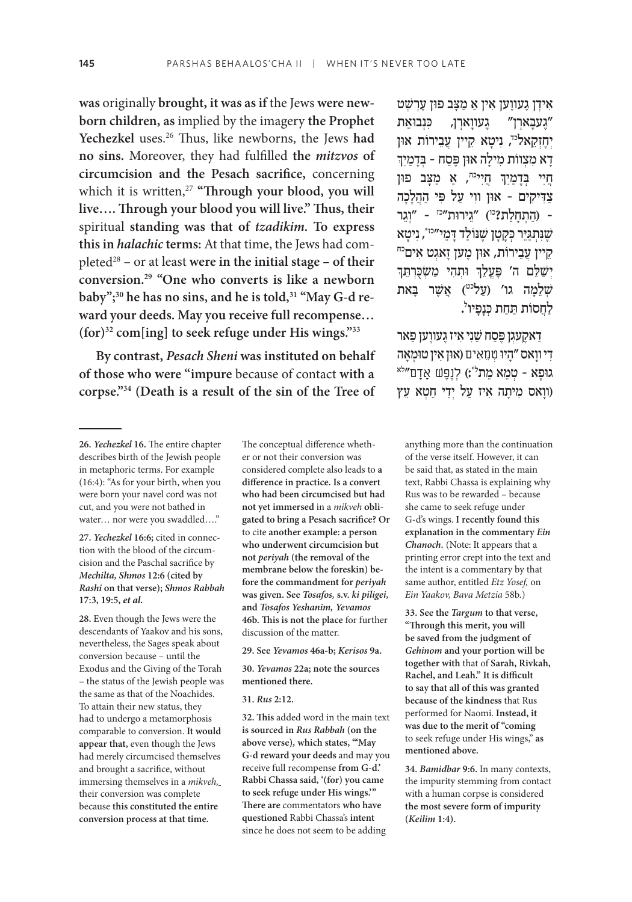**was** originally **brought, it was as if** the Jews **were newborn children, as** implied by the imagery **the Prophet**  Yechezkel uses.<sup>26</sup> Thus, like newborns, the Jews had **no sins.** Moreover, they had fulfilled **the** *mitzvos* **of circumcision and the Pesach sacrifice,** concerning which it is written,<sup>27</sup> "Through your blood, you will **live…. Through your blood you will live." Thus, their**  spiritual **standing was that of** *tzadikim.* **To express this in** *halachic* **terms:** At that time, the Jews had completed<sup>28</sup> – or at least were in the initial stage – of their **conversion.29 "One who converts is like a newborn**  baby";<sup>30</sup> he has no sins, and he is told,<sup>31</sup> "May G-d re**ward your deeds. May you receive full recompense… (for)32 com[ing] to seek refuge under His wings."33**

**By contrast,** *Pesach Sheni* **was instituted on behalf of those who were "impure** because of contact **with a corpse."34 (Death is a result of the sin of the Tree of**

**27.** *Yechezkel* **16:6;** cited in connection with the blood of the circumcision and the Paschal sacrifice by *Mechilta, Shmos* **12:6 (cited by**  *Rashi* **on that verse);** *Shmos Rabbah*  **17:3, 19:5,** *et al.*

**28.** Even though the Jews were the descendants of Yaakov and his sons, nevertheless, the Sages speak about conversion because – until the Exodus and the Giving of the Torah – the status of the Jewish people was the same as that of the Noachides. To attain their new status, they had to undergo a metamorphosis comparable to conversion. **It would appear that,** even though the Jews had merely circumcised themselves and brought a sacrifice, without immersing themselves in a *mikveh,* their conversion was complete because **this constituted the entire conversion process at that time.**

The conceptual difference whether or not their conversion was considered complete also leads to **a difference in practice. Is a convert who had been circumcised but had not yet immersed** in a *mikveh* **obligated to bring a Pesach sacrifice? Or**  to cite **another example: a person who underwent circumcision but not** *periyah* **(the removal of the membrane below the foreskin) before the commandment for** *periyah*  **was given. See** *Tosafos,* **s.v.** *ki piligei,*  **and** *Tosafos Yeshanim, Yevamos*  **46b. This is not the place** for further discussion of the matter.

**29. See** *Yevamos* **46a-b;** *Kerisos* **9a.**

**30.** *Yevamos* **22a; note the sources mentioned there.**

#### **31.** *Rus* **2:12.**

**32. This** added word in the main text **is sourced in** *Rus Rabbah* **(on the above verse)***,* **which states, "'May G-d reward your deeds** and may you receive full recompense **from G-d.' Rabbi Chassa said, '(for) you came to seek refuge under His wings.'" There are** commentators **who have questioned** Rabbi Chassa's **intent**  since he does not seem to be adding

ִא ְיד ֶ ן ג ֶעוו ִ ען א ַ ין א ַ מָּצ ּ ב פו ֶ ן עְרשׁ ְ ט "געבארן" געווארן, כּנבוּאת יְחֶזְקֵאל<sup>כּד</sup>, נִיטָא קֵיין עֲבֵירוֹת אוּן<br>דָא מִצְווֹת מִילָה אוּן פֶּסַח - בְּדָמַיִךְ ְחֲיִי בְדָמַיִךְ חֲיִי<sup>כה</sup>, אַ מַצָּב פון צַדִּיקִים - אוּן ווִי עַל פִּי הַהֲלַכָה ַ – )ה ְתָחַלת?כו ֵ ( "ג ּ ירות"כז ְ – "וֵגר שֶׁנִּתְגַּיֵּר כְּקָטָן שֶׁנּוֹלַד דָּמֵי״יֹּי", נִיטָא<br>קֵיין עֲבֵירוֹת, אוּן מֶען זָאגְט אִים<sup>כח</sup><br>יְשַׁלֵּם ה' פָּעֲלֵךְ וּתְהִי מַשְׂכָּרְתֵּךְ ֧֧֧֢ׅ֧֚֝<u>֓</u> שִׁלֵמַה גו' (עַל<sup>וט</sup>) אֲשֶׁר בַּאת לַחֲסוֹת תַּחַת כְּנָפִיו<sup>י</sup>.

ַדַאקַעגן פֶּסַח שֵׁנִי אִיז גֵעווַען פַּאר יִדִּ יוֹיָאס ״הָיוּ טְוַמְאִים (אוּן אִין טוּמְאָה<br>גוּפַא - טִמֵא מֶת<sup>ל</sup>\*:) לְנֵפֵּשׁ אָדָם״<sup>א</sup> ָ)וו ִ אס מ ָית ִ ה א ַ יז ע ְל יֵד ֵ י ח ְט ֵא עץ

anything more than the continuation of the verse itself. However, it can be said that, as stated in the main text, Rabbi Chassa is explaining why Rus was to be rewarded – because she came to seek refuge under G-d's wings. **I recently found this explanation in the commentary** *Ein Chanoch.* (Note: It appears that a printing error crept into the text and the intent is a commentary by that same author, entitled *Etz Yosef,* on *Ein Yaakov, Bava Metzia* 58b.)

**33. See the** *Targum* **to that verse, "Through this merit, you will be saved from the judgment of**  *Gehinom* **and your portion will be together with** that of **Sarah, Rivkah, Rachel, and Leah." It is difficult to say that all of this was granted because of the kindness** that Rus performed for Naomi. **Instead, it was due to the merit of "coming**  to seek refuge under His wings," **as mentioned above.**

**34.** *Bamidbar* **9:6.** In many contexts, the impurity stemming from contact with a human corpse is considered **the most severe form of impurity (***Keilim* **1:4).**

**<sup>26.</sup>** *Yechezkel* **16.** The entire chapter describes birth of the Jewish people in metaphoric terms. For example (16:4): "As for your birth, when you were born your navel cord was not cut, and you were not bathed in water… nor were you swaddled…."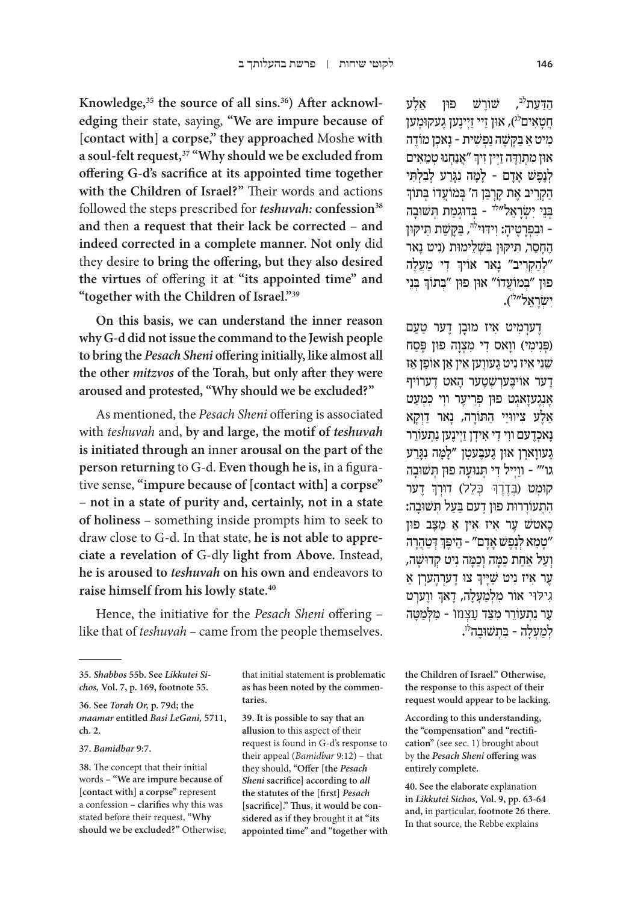**Knowledge,35 the source of all sins.36) After acknowledging** their state, saying, **"We are impure because of [contact with] a corpse," they approached** Moshe **with a soul-felt request,37 "Why should we be excluded from offering G-d's sacrifice at its appointed time together with the Children of Israel?"** Their words and actions followed the steps prescribed for *teshuvah*: confession<sup>38</sup> **and** then **a request that their lack be corrected – and indeed corrected in a complete manner. Not only** did they desire **to bring the offering, but they also desired the virtues** of offering it **at "its appointed time" and "together with the Children of Israel."39**

**On this basis, we can understand the inner reason why G-d did not issue the command to the Jewish people to bring the** *Pesach Sheni* **offering initially, like almost all the other** *mitzvos* **of the Torah, but only after they were aroused and protested, "Why should we be excluded?"**

As mentioned, the *Pesach Sheni* offering is associated with *teshuvah* and, **by and large, the motif of** *teshuvah* **is initiated through an** inner **arousal on the part of the person returning** to G-d. **Even though he is,** in a figurative sense, **"impure because of [contact with] a corpse" – not in a state of purity and, certainly, not in a state of holiness –** something inside prompts him to seek to draw close to G-d. In that state, **he is not able to appreciate a revelation of** G-dly **light from Above.** Instead, **he is aroused to** *teshuvah* **on his own and** endeavors to **raise himself from his lowly state.40**

Hence, the initiative for the *Pesach Sheni* offering – like that of *teshuvah* – came from the people themselves.

**36. See** *Torah Or,* **p. 79d; the**  *maamar* **entitled** *Basi LeGani,* **5711, ch. 2.**

#### **37.** *Bamidbar* **9:7.**

**38.** The concept that their initial words **– "We are impure because of [contact with] a corpse"** represent a confession **– clarifies** why this was stated before their request, **"Why should we be excluded?"** Otherwise, that initial statement **is problematic as has been noted by the commentaries.**

**39. It is possible to say that an allusion** to this aspect of their request is found in G-d's response to their appeal (*Bamidbar* 9:12) – that they should, **"Offer [the** *Pesach Sheni* **sacrifice] according to** *all*  **the statutes of the [first]** *Pesach*  **[sacrifice]." Thus, it would be considered as if they** brought it **at "its appointed time" and "together with** 

הדעת<sup>לב</sup>, שוֹרשׁ פון אלע חֵטַאִים<sup>לג</sup>), און זֵיי זַיִינֵען גֵעקוּמֵען מיט אַ בַּקַשָּׁה נַפְשִׁית - נַאכן מוֹדֵה ֧֧֢ׅ֧֢ׅ֧֦֧֦֧֦֧֚֝ און מִתְוַדָּה זַיְין זִיךְ "אֲנַחְנוּ טְמֵאִים ַ לְנֶפֵשׁ אִדם - למה נגרע לְבלִתי הקריב אֵת קרִבן ה' בִּמוֹעַדוֹ בִּתוֹךְ ְּבֵנ ִי י ְשָׂרֵאל"לד ְּ – ב ּדוְגַמ ְּת ת ּשׁ וָבה – וּבְפְרַטֵיהַ: וְידּוּי<sup>לה</sup>, בַּקַּשַׁת תִּיקּוּן הַחִסֶר, תִיקְוּן בּשָׁלֵימוּת (ניט נאר ְלְהַקְרִיב" נָאר אויך דִי מַעֲלָה" ְפון "בְּמוֹעֲדוֹ" אוּן פוּן "בְּתוֹךְ בְּנֵי ישׂראל"ל).

ָדערִמִיט איז מוּבַן דָער טַעַם (פִּנִימִי) ווַאס דִי מִצְוַה פון פֵּסַח שֵׁנִי אִיז נִיט גֶעווֵען אִין אַן אוֹפֵן אז ָדער אויבֵערשׁטֻער הַאט דערויף אַנְגַעזַאגִט פון פְרִיעֵר ווי כִּמְעַט אַלְע ציוויֵי התורה, נאר דוִקא ַנאכְדַעם ווי די אידן זיינַען נתעוֹרר ַגעווארן און געבעטן "למה נגרע ַ גו'" – ווְי ִ יל ד ְּ י ת ּנוָע ּ ה פו ְּ ן ת ּשׁ וָבה ְקוּמְט (בְּדֶרֶךְ כְּלַל) דוּרְךָ דֶער התעוררות פון דעם בעל תשובה: ָכ ֶ אטשׁ ע ִ ר א ִ יז א ַ ין א ַ מָּצ ּ ב פון ְְיָטָמֵא לְנֶפֶשׁ אָדָם" - הֵיפֶּךְ דְּטַהֲרָה" וְעַל אַחַת כַּמַּה וְכַמַּה נִיט קִדוּשָׁה, ֧֧֧֢ׅ֧֚֝<u>֓</u> עָר איז ניט שַיִּיךְ צוּ דֶערְהֶע<mark>רְן א</mark>ַ ֧֧֢ׅ֧֢ׅ֧֦֧֦֧֦֧֚֝ **גִילּוּי אוֹר מִלְמַעְלָה, דָאךְ ווֶעַרְט** ַעֲר נְתְעוֹרֵר מִצַּד עַצְמוֹ - מַלְמַטַּה לְמַעְלָה - בִּתְשׁוּבָה<sup>לּ</sup>י.

**the Children of Israel." Otherwise, the response to** this aspect **of their request would appear to be lacking.**

**According to this understanding, the "compensation" and "rectification"** (see sec. 1) brought about by **the** *Pesach Sheni* **offering was entirely complete.**

**40. See the elaborate** explanation **in** *Likkutei Sichos,* **Vol. 9, pp. 63-64 and,** in particular, **footnote 26 there.**  In that source, the Rebbe explains

**<sup>35.</sup>** *Shabbos* **55b. See** *Likkutei Sichos,* **Vol. 7, p. 169, footnote 55.**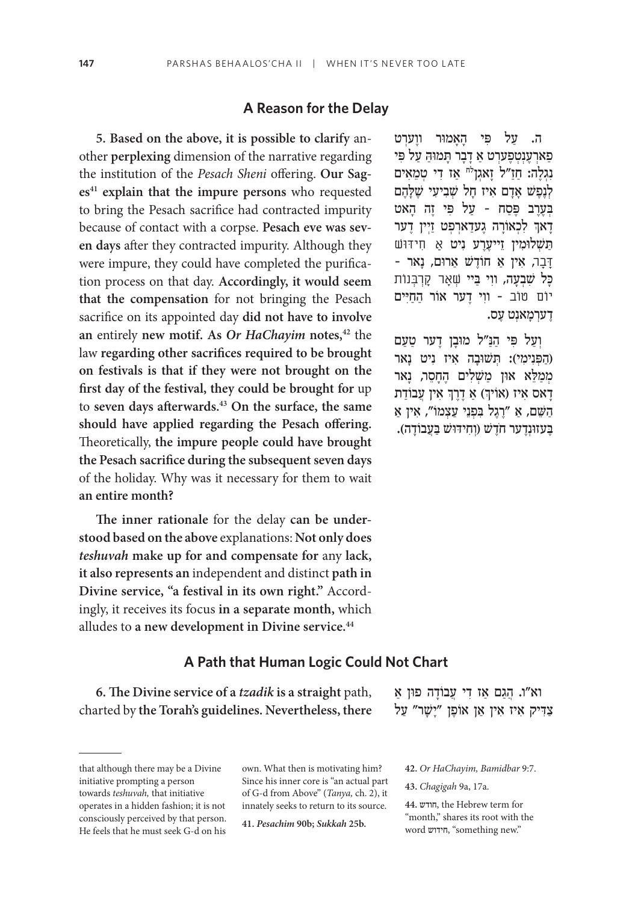#### **A Reason for the Delay**

**5. Based on the above, it is possible to clarify** another **perplexing** dimension of the narrative regarding the institution of the *Pesach Sheni* offering. **Our Sag**es<sup>41</sup> explain that the impure persons who requested to bring the Pesach sacrifice had contracted impurity because of contact with a corpse. **Pesach eve was seven days** after they contracted impurity. Although they were impure, they could have completed the purification process on that day. **Accordingly, it would seem that the compensation** for not bringing the Pesach sacrifice on its appointed day **did not have to involve an** entirely **new motif. As** *Or HaChayim* **notes,42** the law **regarding other sacrifices required to be brought on festivals is that if they were not brought on the first day of the festival, they could be brought for** up to **seven days afterwards.43 On the surface, the same should have applied regarding the Pesach offering.**  Theoretically, **the impure people could have brought the Pesach sacrifice during the subsequent seven days**  of the holiday. Why was it necessary for them to wait **an entire month?**

**The inner rationale** for the delay **can be understood based on the above** explanations: **Not only does**  *teshuvah* **make up for and compensate for** any **lack, it also represents an** independent and distinct **path in Divine service, "a festival in its own right."** Accordingly, it receives its focus **in a separate month,** which alludes to **a new development in Divine service.44**

**A Path that Human Logic Could Not Chart**

**6. The Divine service of a** *tzadik* **is a straight** path, charted by **the Torah's guidelines. Nevertheless, there**

own. What then is motivating him? Since his inner core is "an actual part of G-d from Above" (*Tanya,* ch. 2), it innately seeks to return to its source.

**41.** *Pesachim* **90b;** *Sukkah* **25b.**

ה. עַל פִּי הָאַמוּר ווַערִט ַפַארְעֶנְטְפֶעַרְט אַ דָבָר תַּמוּהַ עַל פִּי נְגְלֵה: חַזַ״ל זַאגְן<sup>ּיָ</sup>ח אַז דִי טְמֵאִים לְנֶפֶשׁ אָדָם אִיז חָל שְׁבִיעִי שֶׁלָהֶם בַּעַרב פֵּסה - עַל פּ<sup>ַ</sup>י זה האט ׅ֧֧֧֢ׅ֖֧֧֧֦֧֧֓֝֬֓֓֓֓֓֓֓֓֬֓֓֬֓֓֬֓֓֬֓֓֬֓֓֬֓֓֬֓֓֓֩֓֓֬֓֬֓֓֬֓֓֓֓֬ ָדָא<sub>ּ</sub>ךְ לִכְאוֹרָה גֶעדַארְפְּט זַיְין דֶער ַתַּשׁלוּמִין זֵייעֲרֵע נִיט אַ חִידּוּש **ַּדְּבַר, אִין אַ חוֹדֵשׁ אַרוּם, נַאר** -ָכָּל שָׁבְעָה, ווִי בַּיי שִׁאַר קַרְבְּנוֹת יוֹם טוֹב - ווִי דָער אוֹר הַחַיִּים ָדַערִמַאנִט עָס.

וְעַל פִּי הַנַּ״ל מוּבַן דֵער טַעַם הַפְּנִימִי): תְּשׁוּבָה אִיז נִיט נַאר) מְמַלֵּא אוּן מַשְׁלִים הֶחָסֵר, נָאר ְָדָאס איז (אויך) אַ דֶרֶךְ אין עֲבוֹדַת ְַהשֵּׁ ַ ם, א ֶ "רֶג ִּ ל ב ְפֵנ ַ י ע ְצ ִ מוֹ ", א ַ ין א ָבְעזוּנְדֶער חֹדֵשׁ (וְחִידוֹשׁ בַּעֲבוֹדַה).

צַדִיק איז אין אַן אוֹפֵן "יַשַׁר" עַל

וא"ו. הַגַם אַז דִי עֲבוֹדָה פוּן אַ

**42.** *Or HaChayim, Bamidbar* 9:7.

**43.** *Chagigah* 9a, 17a.

**44.** חודש, the Hebrew term for "month," shares its root with the word חידוש," something new."

that although there may be a Divine initiative prompting a person towards *teshuvah,* that initiative operates in a hidden fashion; it is not consciously perceived by that person. He feels that he must seek G-d on his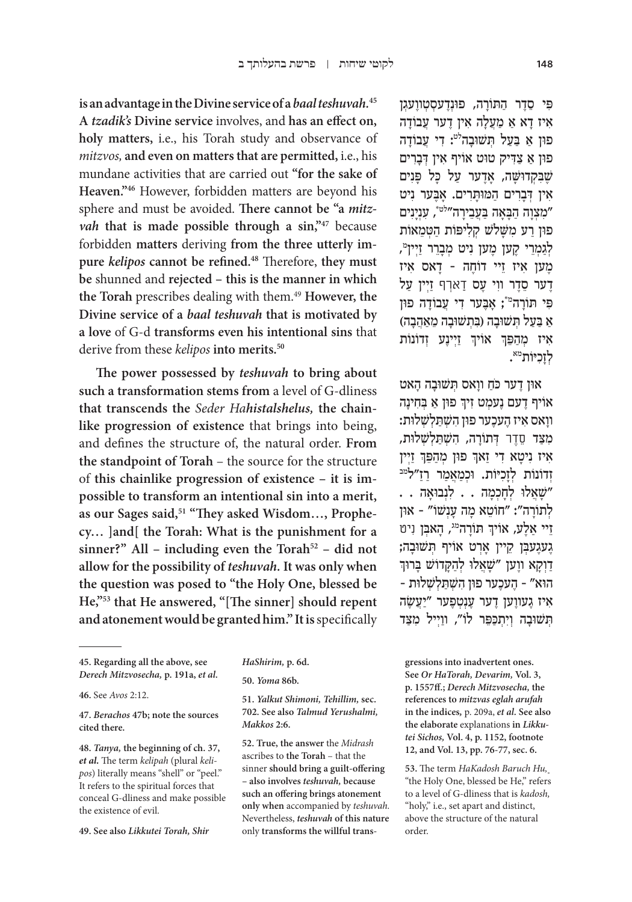**is an advantage in the Divine service of a** *baal teshuvah.***<sup>45</sup> A** *tzadik's* **Divine service** involves, and **has an effect on, holy matters,** i.e., his Torah study and observance of *mitzvos,* **and even on matters that are permitted,** i.e., his mundane activities that are carried out **"for the sake of Heaven."46** However, forbidden matters are beyond his sphere and must be avoided. **There cannot be "a** *mitzvah* that is made possible through a sin,"<sup>47</sup> because forbidden **matters** deriving **from the three utterly impure** *kelipos* **cannot be refined.48** Therefore, **they must be** shunned and **rejected – this is the manner in which the Torah** prescribes dealing with them.49 **However, the Divine service of a** *baal teshuvah* **that is motivated by a love** of G-d **transforms even his intentional sins** that derive from these *kelipos* **into merits.50**

**The power possessed by** *teshuvah* **to bring about such a transformation stems from** a level of G-dliness **that transcends the** *Seder Hahistalshelus,* **the chainlike progression of existence** that brings into being, and defines the structure of, the natural order. **From the standpoint of Torah** – the source for the structure of **this chainlike progression of existence – it is impossible to transform an intentional sin into a merit,**  as our Sages said,<sup>51</sup> "They asked Wisdom..., Prophe**cy… ]and[ the Torah: What is the punishment for a**  sinner?" All – including even the Torah<sup>52</sup> – did not **allow for the possibility of** *teshuvah.* **It was only when the question was posed to "the Holy One, blessed be He,"53 that He answered, "[The sinner] should repent and atonement would be granted him." It is** specifically

**46.** See *Avos* 2:12.

**47.** *Berachos* **47b; note the sources cited there.**

**48.** *Tanya,* **the beginning of ch. 37,**  *et al.* The term *kelipah* (plural *kelipos*) literally means "shell" or "peel." It refers to the spiritual forces that conceal G-dliness and make possible the existence of evil.

**49. See also** *Likkutei Torah, Shir* 

**50.** *Yoma* **86b.**

**51.** *Yalkut Shimoni, Tehillim,* **sec. 702. See also** *Talmud Yerushalmi, Makkos* **2:6.**

**52. True, the answer** the *Midrash*  ascribes to **the Torah** – that the sinner **should bring a guilt-offering – also involves** *teshuvah,* **because such an offering brings atonement only when** accompanied by *teshuvah.* Nevertheless, *teshuvah* **of this nature**  only **transforms the willful trans-**

פּי סדר התורה, פוּנדעסטוועגן ִא ָ יז ד ַא א ַ מֲעָל ִה א ֶ ין ד ֲ ער ע ָבוֹ דה פון א בעל תשובה<sup>לט</sup>: די עַבוֹדה ּפו ַ ן א ַ צִ ּד ּ יק טו ִ ט אוֹ יף א ְ ּ ין דָבִרים שֶׁבַּקְדוּשֵׁה, אַדֵער עַל כַּל פַּנִים ִא ְ ּ ין דָבִר ַ ים ה ּמּו ָּתִר ָ ים. אֶּב ִ ער ניט מצוה הבאה בעבירה"<sup>לט\*</sup>, ענינים" פון רע משלש קליפּות הטמאות לְגַמְרֵי קֶען מֶעַן נִיט מְבָרֵר זַיְין<sup>ָי</sup>, ֶמ ִ ען א ֵ יז ז ֶ יי דוֹ ח ָ ה – ד ִ אס איז ָדָער סֵדֶר ווִי עָס דַארִף זַיִין עַל פִּי תורה<sup>מ</sup>\*; אָבער די עבודה פון ָא בַעַל תְּשׁוּבָה (בִּתְשׁוּבָה מֵאֲהֶבָה) ְאִיז מְהַפֵּךְ אוֹיךָ זַיְינֶע זְדוֹנוֹת לְזָכִיּוֹת<sup>מא</sup>.

ּאו ֶ ן ד ַ ער כּ ֹח ָ וו ְּ אס ת ּשׁ וָב ָה האט ׅ֧֧֧֢ׅ֖֧֧֧֦֧֧֓֝֬֓֓֓֓֓֓֓֓֬֓֓֬֓֓֬֓֓֬֓֓֬֓֓֬֓֓֬֓֓֓֩֓֓֬֓֬֓֓֬֓֓֓֓֬ אויף דָעם נָעמְט זִיךְ פוּן אַ בְּחִינָה ָוו ִ אס א ֶ יז ה ֶעכ ּ ער פו ִ ן השׁ ְ ַּת ְלשׁ ְ ּלות: ִמַּצד ֵסֶדר ְ ּ ד ָתוֹ ר ִ ה, השׁ ְ ַּת ְלשׁ ְ ּלות, ׅ֧֧֧֢ׅ֖֧֧֧֦֧֧֓֝֬֓֓֓֓֓֓֓֓֬֓֓֬֓֓֬֓֓֬֓֓֬֓֓֬֓֓֬֓֓֓֩֓֓֬֓֬֓֓֬֓֓֓֓֬ פון מְהַפֵּךְ זַיְין ֧֧֧֢ׅ֧֚֝<u>֓</u> זְדוֹנוֹת לְזַכְיּוֹת. וּכְמַאֲמַר רַזַ"ל<sup>מב</sup>  $\cdot$ שַׁאֲלוּ לְחַכְמַה  $\cdot$  . לְנְבוּאַה . . לְתוֹרָה": "חוֹטֵא מַה עֲנָשׁוֹ" - און ׅ֧֧֧֢ׅ֖֧֧֧֦֧֧֓֝֬֓֓֓֓֓֓֓֓֬֓֓֬֓֓֬֓֓֬֓֓֬֓֓֬֓֓֬֓֓֓֩֓֓֬֓֬֓֓֬֓֓֓֓֬ זֵיי אַלֶע, אוֹיךְ תּוֹרָה<sup>מג</sup>, הָאבְן וִיט ְ ֶג ֶעג ְּעב ֵ ן ק ָ יין אְר ְּ ט אוֹ יף ת ּשׁ וָבה; ַדְוָקַא ווָען "שַׁאֲלו לְהַקַדוֹשׁ בַּרוּך – הוא״ – הֶעכֶער פוּן הִשְׁתַּלְשָׁלוּת איז געווען דער עַנטִפּער "יַעֲשֶׂה הִשׁוּבָה וְיִתְכַפֵּר לוֹ", ווַיִיל מִצַּד

**gressions into inadvertent ones. See** *Or HaTorah, Devarim,* **Vol. 3, p. 1557ff.;** *Derech Mitzvosecha,* **the references to** *mitzvas eglah arufah*  **in the indices***,* p. 209a, *et al.* **See also the elaborate** explanations **in** *Likkutei Sichos,* **Vol. 4, p. 1152, footnote 12, and Vol. 13, pp. 76-77, sec. 6.**

**53.** The term *HaKadosh Baruch Hu,* "the Holy One, blessed be He," refers to a level of G-dliness that is *kadosh,* "holy," i.e., set apart and distinct, above the structure of the natural order.

**<sup>45.</sup> Regarding all the above, see**  *Derech Mitzvosecha,* **p. 191a,** *et al.*

*HaShirim,* **p. 6d.**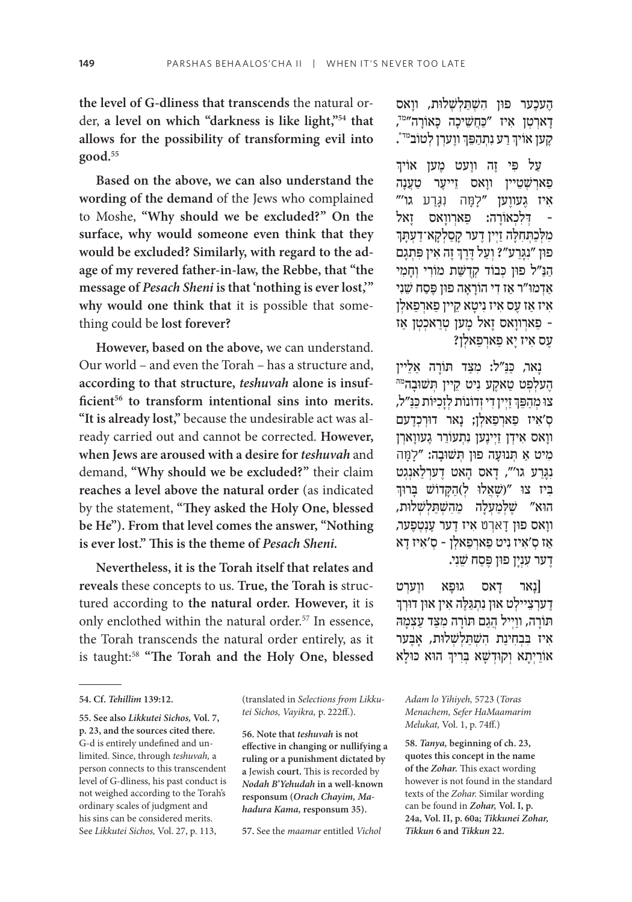**the level of G-dliness that transcends** the natural order, **a level on which "darkness is like light,"54 that allows for the possibility of transforming evil into good.55**

**Based on the above, we can also understand the wording of the demand** of the Jews who complained to Moshe, **"Why should we be excluded?" On the surface, why would someone even think that they would be excluded? Similarly, with regard to the adage of my revered father-in-law, the Rebbe, that "the message of** *Pesach Sheni* **is that 'nothing is ever lost,'" why would one think that** it is possible that something could be **lost forever?**

**However, based on the above,** we can understand. Our world – and even the Torah – has a structure and, **according to that structure,** *teshuvah* **alone is insuf**ficient<sup>56</sup> to transform intentional sins into merits. **"It is already lost,"** because the undesirable act was already carried out and cannot be corrected. **However, when Jews are aroused with a desire for** *teshuvah* and demand, **"Why should we be excluded?"** their claim **reaches a level above the natural order** (as indicated by the statement, **"They asked the Holy One, blessed be He"). From that level comes the answer, "Nothing is ever lost." This is the theme of** *Pesach Sheni.*

**Nevertheless, it is the Torah itself that relates and reveals** these concepts to us. **True, the Torah is** structured according to **the natural order. However,** it is only enclothed within the natural order.<sup>57</sup> In essence, the Torah transcends the natural order entirely, as it is taught:58 **"The Torah and the Holy One, blessed** 

(translated in *Selections from Likkutei Sichos, Vayikra,* p. 222ff.).

**56. Note that** *teshuvah* **is not effective in changing or nullifying a ruling or a punishment dictated by a** Jewish **court.** This is recorded by *Nodah B'Yehudah* **in a well-known responsum (***Orach Chayim, Mahadura Kama,* **responsum 35).**

**57.** See the *maamar* entitled *Vichol* 

העכער פון השתלשלות, וואס ָדָארְטְן אִיז "כַּחֲשֵׁיכָה כָּאוֹרָה"<sup>י,</sup> . ֶ וו ְער ְ ן לטוֹ במד\* ַ ר ִע נ ְתַהפֵּ ך ֶקען אוֹ יך ְְ

֧֧֧֢ׅ֧֚֝<u>֓</u> ַעַל פִּי זֶה ווֵעט מֵען אוֹיך ַפארשטיין וואס זייער טענה איז געווען "למה נגרע גו'" ן דְּלִכְאוֹרָה: פַארְווָאס זְאל -<br>מִלְכַתְּחִלָּה זַיְין דֶער קָסַלְקָא־דַעְתָּךְ ֦֧֖֖֖֖֖֖֖֧ׅ֖ׅ֧ׅ֧֧֧֧֚֚֚֚֚֚֚֚֚֚֚֚֚֚֚֚֚֚֚֝֬֝֝֬֝֓֞֝֬֓֓֝֬֝֓֞֝֬֝֬֝ פון "נִגְּרַע"? וְעַל דֶּרֶךְ זֶה אִין פִּתְגָם ַהַנַּ״ל פוּן כִּבוֹד קִדְשַּׁת מוֹרִי וְחַמִי אַדמו"ר אַז דִי הוֹרָאָה פון פֶּסַח שֵׁנִי איז אַז עַס איז נִיטַא קיין פַארִפַּאלְן ַ – פ ְארָוו ָ אס ז ֶ אל מ ְ ען טַר ְאכְט ַ ן אז ַעֲס אִיז יַא פַארִפַּאלְן?

ֶנָאר, כַּנַּ״ל: מִצַּד תּוֹרָה אַלֵיין<br>הֵעלִפְט טַאקֵע נִיט קֵיין תִּשׁוּבַה<sup>מה</sup> ְצו מְהַפֵּךְ זַיְין דִי זְדוֹנוֹת לְזָכִיּוֹת כַּנַּ"ל, ְס ִ'א ַ יז פ ְארַפ ְאל ָ ן; נ ּ אר דוְרְכֶדעם וואס אידו זיינען נתעורר געווארן ִמ ַ יט א ְּ ת ּנוָע ּ ה פו ְּ ן ת ּשׁ וָבה: " ָל ָּמה נְגַרַע גו'", דַאס הַאט דָערִלַאנְגט בִּיז צו "(שַׁאֲלוּ לְ)הַקַדוֹשׁ בַּרוּךְ ָהוא" שֵׁלְמַעָלַה מֵהִשְׁתַּלְשָׁלוּת, ָוו ּ אס פון ָד ְארט ִ א ֶ יז ד ֶ ער עְנ ְטֶפער, אַז ס׳איז ניט פּארִפּאלן - ס׳איז דא ָדַער עָנְיַן פון פֵּסַח שֵׁנִי.

נְאר דָאס גוּפָא ווָערְט]<br>דָערְצֵיילְט אוּן נִתְגַּלֶּה אִין אוּן דוּךְךְ תּוֹרַה, ווַיִיל הַגַם תּוֹרַה מַצַד עַצְמַה איז בבחינת השתלשלות, אבער ׅ֧֧֧֢ׅ֖֧֧֧֦֧֧֓֝֬֓֓֓֓֓֓֓֓֬֓֓֬֓֓֬֓֓֬֓֓֬֓֓֬֓֓֬֓֓֓֩֓֓֬֓֬֓֓֬֓֓֓֓֬ ּ הו ּ א כּ וָלא ַאוֹ רְיָת ְא ו ּקוְדשָׁ ְּ א בִריך

*Adam lo Yihiyeh,* 5723 (*Toras Menachem, Sefer HaMaamarim Melukat,* Vol. 1, p. 74ff.)

**58.** *Tanya,* **beginning of ch. 23, quotes this concept in the name of the** *Zohar.* This exact wording however is not found in the standard texts of the *Zohar.* Similar wording can be found in *Zohar,* **Vol. I, p. 24a, Vol. II, p. 60a;** *Tikkunei Zohar, Tikkun* **6 and** *Tikkun* **22.**

**<sup>54.</sup> Cf.** *Tehillim* **139:12.**

**<sup>55.</sup> See also** *Likkutei Sichos,* **Vol. 7, p. 23, and the sources cited there.**  G-d is entirely undefined and unlimited. Since, through *teshuvah,* a person connects to this transcendent level of G-dliness, his past conduct is not weighed according to the Torah's ordinary scales of judgment and his sins can be considered merits. See *Likkutei Sichos,* Vol. 27, p. 113,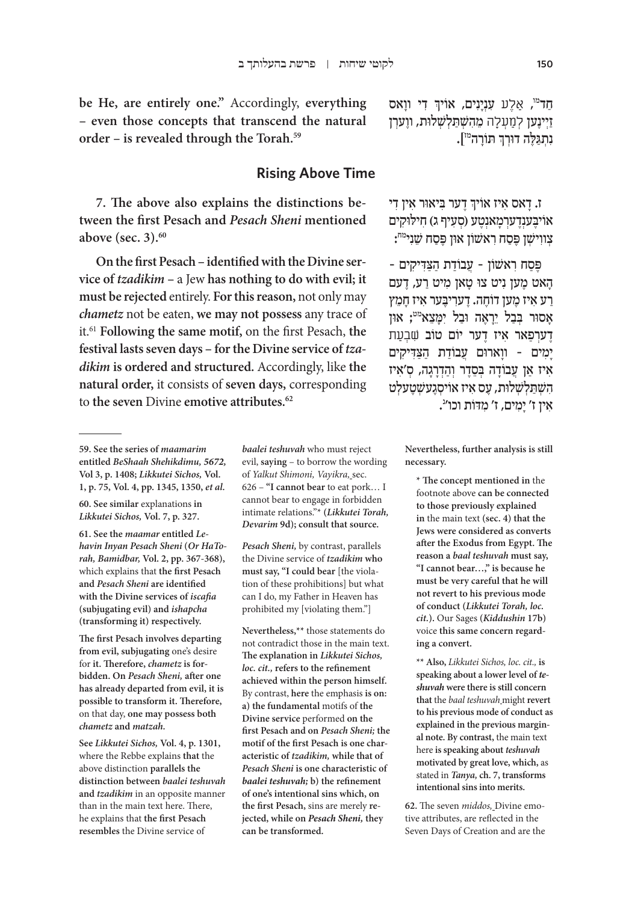**be He, are entirely one."** Accordingly, **everything – even those concepts that transcend the natural order – is revealed through the Torah.59**

## **Rising Above Time**

**7. The above also explains the distinctions between the first Pesach and** *Pesach Sheni* **mentioned above (sec. 3).60**

**On the first Pesach – identified with the Divine service of** *tzadikim* **–** a Jew **has nothing to do with evil; it must be rejected** entirely. **For this reason,** not only may *chametz* not be eaten, **we may not possess** any trace of it.61 **Following the same motif,** on the first Pesach, **the festival lasts seven days – for the Divine service of** *tzadikim* **is ordered and structured.** Accordingly, like **the natural order,** it consists of **seven days,** corresponding to **the seven** Divine **emotive attributes.62**

**60. See similar** explanations **in**  *Likkutei Sichos,* **Vol. 7, p. 327.**

**61. See the** *maamar* **entitled** *Lehavin Inyan Pesach Sheni* **(***Or HaTorah, Bamidbar,* **Vol. 2, pp. 367-368),**  which explains that **the first Pesach and** *Pesach Sheni* **are identified with the Divine services of** *iscafia*  **(subjugating evil) and** *ishapcha*  **(transforming it) respectively.**

**The first Pesach involves departing from evil, subjugating** one's desire for **it. Therefore,** *chametz* **is forbidden. On** *Pesach Sheni,* **after one has already departed from evil, it is possible to transform it. Therefore,**  on that day, **one may possess both**  *chametz* **and** *matzah.*

**See** *Likkutei Sichos,* **Vol. 4, p. 1301,**  where the Rebbe explains **that** the above distinction **parallels the distinction between** *baalei teshuvah*  **and** *tzadikim* in an opposite manner than in the main text here. There, he explains that **the first Pesach resembles** the Divine service of

*baalei teshuvah* who must reject evil, **saying** – to borrow the wording of *Yalkut Shimoni, Vayikra,* sec. 626 – **"I cannot bear** to eat pork… I cannot bear to engage in forbidden intimate relations."\* **(***Likkutei Torah, Devarim* **9d); consult that source.**

*Pesach Sheni,* by contrast, parallels the Divine service of *tzadikim* **who must say, "I could bear** [the violation of these prohibitions] but what can I do, my Father in Heaven has prohibited my [violating them."]

**Nevertheless,\*\*** those statements do not contradict those in the main text. **The explanation in** *Likkutei Sichos, loc. cit.,* **refers to the refinement achieved within the person himself.**  By contrast, **here** the emphasis **is on: a) the fundamental** motifs of **the Divine service** performed **on the first Pesach and on** *Pesach Sheni;* **the motif of the first Pesach is one characteristic of** *tzadikim,* **while that of**  *Pesach Sheni* **is one characteristic of**  *baalei teshuvah;* **b) the refinement of one's intentional sins which, on the first Pesach,** sins are merely **rejected, while on** *Pesach Sheni,* **they can be transformed.**

ְ $\mu$ יִדְ דִי ווָאס עִנְיָנִים, אוֹיךְ דִי ַזְיִנֵען לְמַעִלָה מֵהָשְׁתַלְשָׁלוּת, ווַעַרְן ֧֧֧֢ׅ֧֚֝<u>֓</u> ּנִתְגַּלֶּה דוּרְךָ תּוֹרָה<sup>מּז</sup>].

ְי דאס איז אויך דער ביאור אין די אוֹיבענדערמאנטע (סעיף ג) חילוקים צְווִישְׁן פֶּסַח רִאשׁוֹן אוּן פֶּסַח שֵׁנִי<sup>מח</sup>:

פֶּסַח ראשון - עֲבוֹדת הַצִדיקים -ָהאט מען ניט צו טאן מיט רע, דעם רע איז מען דוֹחה. דעריבער איז חמץ אסור בַבל יֵראָה וּבל ימַצֵא<sup>מט</sup>; און דַערִפַאר איז דער יוֹם טוֹב שִׁבְעַת ימים - ווארום עבודת הצדיקים ִא ַ יז א ֲ ן ע ָבוֹ ד ְּ ה בֵסֶד ְר וַהְדָרָג ְ ה, ס ִ'איז השתלשלות, עֵס איז אויסְגַעשִטַעלִט אין ז' יָמִים, ז' מ<mark>דות וכו''.</mark>

> **Nevertheless, further analysis is still necessary.**

**\* The concept mentioned in** the footnote above **can be connected to those previously explained in** the main text **(sec. 4) that the Jews were considered as converts after the Exodus from Egypt. The reason a** *baal teshuvah* **must say, "I cannot bear…," is because he must be very careful that he will not revert to his previous mode of conduct (***Likkutei Torah, loc. cit.***).** Our Sages **(***Kiddushin* **17b)**  voice **this same concern regarding a convert.**

**\*\* Also,** *Likkutei Sichos, loc. cit.,* **is speaking about a lower level of** *teshuvah* **were there is still concern that** the *baal teshuvah* might **revert to his previous mode of conduct as explained in the previous marginal note. By contrast,** the main text here **is speaking about** *teshuvah*  **motivated by great love, which,** as stated in *Tanya,* **ch. 7, transforms intentional sins into merits.**

**62.** The seven *middos,* Divine emotive attributes, are reflected in the Seven Days of Creation and are the

**<sup>59.</sup> See the series of** *maamarim*  **entitled** *BeShaah Shehikdimu, 5672,*  **Vol 3, p. 1408;** *Likkutei Sichos,* **Vol. 1, p. 75, Vol. 4, pp. 1345, 1350,** *et al.*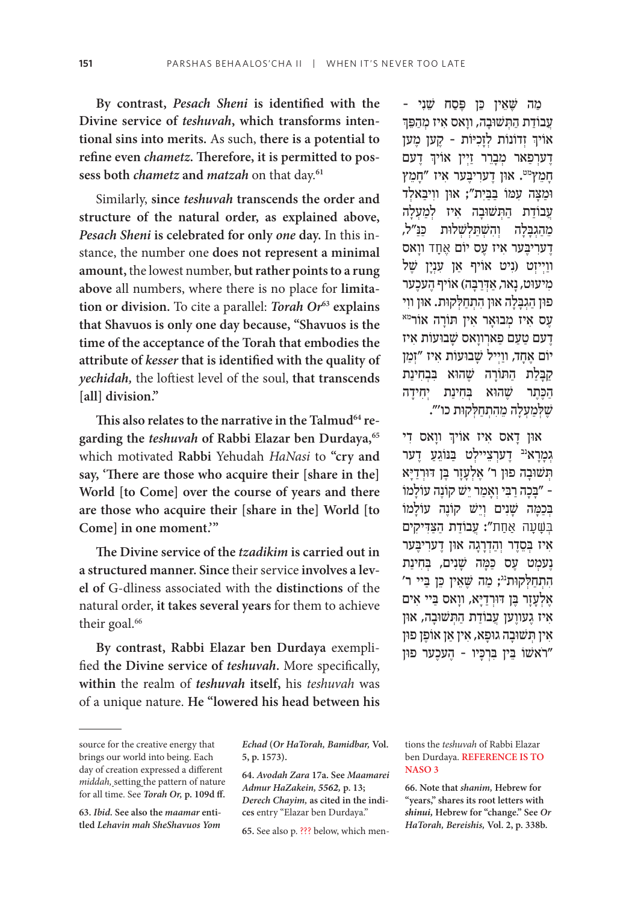**By contrast,** *Pesach Sheni* **is identified with the Divine service of** *teshuvah***, which transforms intentional sins into merits.** As such, **there is a potential to refine even** *chametz***. Therefore, it is permitted to possess both** *chametz* **and** *matzah* on that day.**<sup>61</sup>**

Similarly, **since** *teshuvah* **transcends the order and structure of the natural order, as explained above,**  *Pesach Sheni* **is celebrated for only** *one* **day.** In this instance, the number one **does not represent a minimal amount,** the lowest number, **but rather points to a rung above** all numbers, where there is no place for **limitation or division.** To cite a parallel: *Torah Or***<sup>63</sup> explains that Shavuos is only one day because, "Shavuos is the time of the acceptance of the Torah that embodies the attribute of** *kesser* **that is identified with the quality of**  *yechidah,* the loftiest level of the soul, **that transcends [all] division."**

**This also relates to the narrative in the Talmud64 regarding the** *teshuvah* **of Rabbi Elazar ben Durdaya,65** which motivated **Rabbi** Yehudah *HaNasi* to **"cry and say, 'There are those who acquire their [share in the] World [to Come] over the course of years and there are those who acquire their [share in the] World [to Come] in one moment.'"**

**The Divine service of the** *tzadikim* **is carried out in a structured manner. Since** their service **involves a level of** G-dliness associated with the **distinctions** of the natural order, **it takes several years** for them to achieve their goal.<sup>66</sup>

**By contrast, Rabbi Elazar ben Durdaya** exemplified **the Divine service of** *teshuvah***.** More specifically, **within** the realm of *teshuvah* **itself,** his *teshuvah* was of a unique nature. **He "lowered his head between his** 

ְֿאון דָאס איז אויך ווָאס די גִמַרא<sup>ַנב</sup> דָערִצְיילִט בַּנּוֹגֶעַ דָער תְּשׁוּבָה פוּן ר' אֱלְעָזַר בֵּן דּוּרְדַיַּא ָּ – "בָכ ַה רִּב ְי וָאַמ ֵר י ֶ שׁ קוֹ נ ָ ה עוֹ למוֹ בְּכִמה שַׁנִּים וַיֵּשׁ קוֹנָה עוֹלמוֹ ַּבְּשָׁעַה אַחֲת"; עַבוֹדת הִצִדִּיקים ִא ְּ יז בֵסֶד ְר וַהְדָרָג ּ ה או ֶ ן ד ִער ֶּיבער ֶנ ְעמ ֶ ט ע ַ ס כּ ָּמה שָׁ ִנ ְּ ים, ב ִח ַינת הִתְחַלְקוּת<sup>וג</sup>; מַה שֵׁאֵין כֵּן בַּיי ר' אַלְעַזַר בֵּן דּוּרְדַיַא, ווַאס בַּיי אִים איז געווען עַבוֹדַת הַתְּשׁוּבָה, און אין תשובה גופא, אין אַן אוֹפֵן פון רֹאשׁוֹ בֵּין בְּרְכָּיו - הֲעכֵער פון"

**63.** *Ibid.* **See also the** *maamar* **entitled** *Lehavin mah SheShavuos Yom* 

*Echad* **(***Or HaTorah, Bamidbar,* **Vol. 5, p. 1573).**

**64.** *Avodah Zara* **17a. See** *Maamarei Admur HaZakein, 5562,* **p. 13;**  *Derech Chayim,* **as cited in the indices** entry "Elazar ben Durdaya."

**65.** See also p. ??? below, which men-

tions the *teshuvah* of Rabbi Elazar ben Durdaya. **REFERENCE IS TO NASO 3**

**66. Note that** *shanim,* **Hebrew for "years," shares its root letters with**  *shinui,* **Hebrew for "change." See** *Or HaTorah, Bereishis,* **Vol. 2, p. 338b.**

<sup>ָ -</sup> מה שֵׁאין כּוָ פּסח שֵׁני ַעֲבוֹדת התִשׁוּבה, וואס איז מַהפֵּך ְאויך זְדוֹנוֹת לְזָכִיּוֹת - קֶע*ן מֶע*ן ְ ֶ דעם ֶד ְערַפ ְ אר מָבֵר ַ ר זְיין אוֹ יך חמץ<sup>מט</sup>. און דֵערִיבֵער אִיז "חָמֵץ וּמַצה עמו בבית"; און וויבאלד ַ עבודת התשובה איז למעלה ְמֵהגִבִלה וְהשִׁתַּלְשָׁלוּת כּנ"ל, ָדערִיבֵּער אִיז עָס יוֹם אֵחָד ווַאס וּוַיִיזְט (נִיט אוֹיף אַן עָנְיַן שֵׁל מיעוּט, נאר, אדרבה) אוֹיף העכער ָפוּן הַגְבָּלָה אוּן הִתְחַלְקוּת. אוּן ווִי<br>עֶס אִיז מְבוּאָר אִין תּוֹרָה אוֹר<sup>מא</sup> ֶד ַ עם טַע ַם פ ְארָוואס שָׁ ּבו ִ עוֹ ת איז יוֹם אֵחָד, ווַיִּיל שַׁבועות איז "זִמַן ַקְבַלת התּוֹרה שַׁהוֹא בַבחינת הַכֵּתֵר שֶׁהוֹא בְּחִינַת יְחִידַה שֵׁ ּלְמַעָלַה מֻהָתְחַלְקוּת כו'".

source for the creative energy that brings our world into being. Each day of creation expressed a different *middah,* setting the pattern of nature for all time. See *Torah Or,* **p. 109d ff.**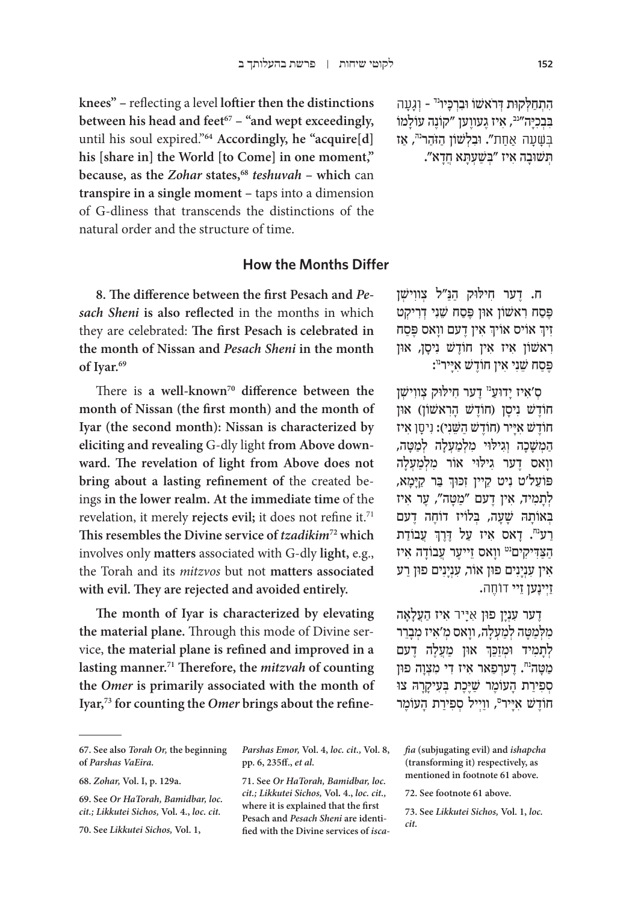התחלקות דראשו וברכיו<sup>נד</sup> - וגעה בִּבְכַּיָּה"<sup>נב</sup>, אִיז גֵעווֵען "קוֹנֵה עוֹלַמוֹ בִּשָּׁעַה אַחַת**". וּבִלְשׁוֹן הַזֹהר<sup>נה</sup>, אז** ְּת ּשׁ וָב ִה א ְּ יז "בשַׁ ְע ָּת ֲא חָדא".

**knees" –** reflecting a level **loftier then the distinctions**  between his head and feet<sup>67</sup> – "and wept exceedingly, until his soul expired."**64 Accordingly, he "acquire[d] his [share in] the World [to Come] in one moment," because, as the** *Zohar* **states,68** *teshuvah* **– which** can **transpire in a single moment –** taps into a dimension of G-dliness that transcends the distinctions of the natural order and the structure of time.

### **How the Months Differ**

**8. The difference between the first Pesach and** *Pesach Sheni* **is also reflected** in the months in which they are celebrated: **The first Pesach is celebrated in the month of Nissan and** *Pesach Sheni* **in the month of Iyar.69**

There is a well-known<sup>70</sup> difference between the **month of Nissan (the first month) and the month of Iyar (the second month): Nissan is characterized by eliciting and revealing** G-dly light **from Above downward. The revelation of light from Above does not bring about a lasting refinement of** the created beings **in the lower realm. At the immediate time** of the revelation, it merely **rejects evil;** it does not refine it.71 **This resembles the Divine service of** *tzadikim***72 which**  involves only **matters** associated with G-dly **light,** e.g., the Torah and its *mitzvos* but not **matters associated with evil. They are rejected and avoided entirely.**

**The month of Iyar is characterized by elevating the material plane.** Through this mode of Divine service, **the material plane is refined and improved in a lasting manner.71 Therefore, the** *mitzvah* **of counting the** *Omer* **is primarily associated with the month of Iyar,73 for counting the** *Omer* **brings about the refine-**

ה. דַער חילוּק הּנ"ל צווישו פֵּסַח רְאשׁוֹן אוֹן פֵּסַח שֵׁנִי דִרְיקָט ְ ִ א ֶ ין ד ָ עם וואס פֶּ ַסח ְ אוֹ יס אוֹ יך ִזיך ִר ִ אשׁ וֹ ן א ִ יז א ֶ ין חוֹ ד ִשׁ נ ָיס ּ ן, און פֶּסַח שֵׁנִי אִין חוֹדֶשׁ א<sub>ָ</sub>יִּיר<sup>ו</sup>':

ס'איז ידוע<sup>ה</sup> דער חילוק צווישן חוֹדָשׁ ניסן (חוֹדָשׁ הראשוֹן) און חוֹדַשׁ אייר (חוֹדַשׁ השֵׁני): ניסן איז המשכה וגילוי מלמעלה למטה, ווַאס דֵער גִילוי אוֹר מִלְמַעָלַה ְָפּוֹעֵל׳ט נִיט קֵיין זִכּוּךְ בַּר קַיָּמָא, לְתָמְיד, אִין דֵעם "מַטָּה", עֵר אִיז בְּאוֹתָה שַׁעָה, בְּלוֹיז דוֹחֵה דָעם ְַרַע<sup>ּח</sup>. דָאס אִיז עַל דֶּרֶךְ עֲבוֹדַת הַצַּדִיקִים<sup>ַט</sup> ווָאס זֵייעֶר עֲבוֹדָה אִיז אין עִנְיַנִים פון אוֹר, עִנְיַנִים פוּן רַע ַזְי ֶינ ֵען זיי ֹדוֶחה.

ָדער עִנָין פון אייר איז העַלאה מִלְמַטַּה לְמַעָלַה, ווַאס מִ׳אִיז מִבָרֵר ֧֧֧֢ׅ֧֚֝<u>֓</u> ּלְתָמִיד וּמְזַכֵּךְ אוּן מַעֲלֶה דֶעם מַטָּה<sup>ָה</sup>. דֵערִפַאר אִיז דִי מִצְוַה פון ְסְפִירת העוֹמֵר שַׁיֵּכֵת בְּעִיקְרָה צו חוֹדֶשׁ אִיָּיר", ווַיְיל סְפִירַת הָעוֹמֶר

**<sup>67.</sup> See also** *Torah Or,* **the beginning of** *Parshas VaEira.*

**<sup>68.</sup>** *Zohar,* **Vol. I, p. 129a.**

**<sup>69.</sup> See** *Or HaTorah, Bamidbar, loc. cit.; Likkutei Sichos,* **Vol***.* **4.,** *loc. cit.*

**<sup>70.</sup> See** *Likkutei Sichos,* **Vol. 1,** 

*Parshas Emor,* **Vol. 4,** *loc. cit.,* **Vol. 8, pp. 6, 235ff.,** *et al.*

**<sup>71.</sup> See** *Or HaTorah, Bamidbar, loc. cit.; Likkutei Sichos,* **Vol***.* **4.,** *loc. cit.,*  **where it is explained that the first Pesach and** *Pesach Sheni* **are identified with the Divine services of** *isca-*

*fia* **(subjugating evil) and** *ishapcha*  **(transforming it) respectively, as mentioned in footnote 61 above.**

**<sup>72.</sup> See footnote 61 above.**

**<sup>73.</sup> See** *Likkutei Sichos,* **Vol. 1,** *loc. cit.*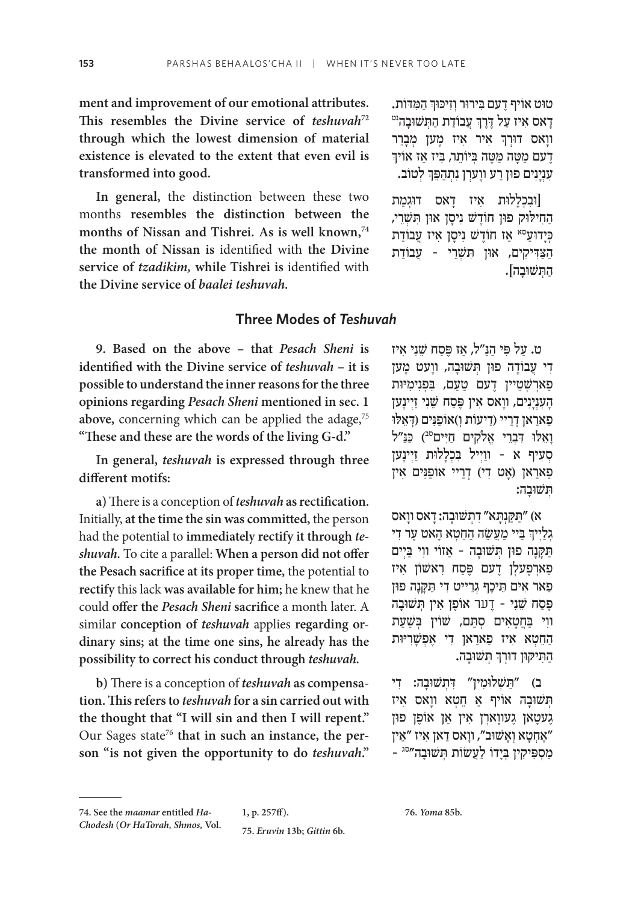**ment and improvement of our emotional attributes.**  This resembles the Divine service of *teshuvah*<sup>72</sup> **through which the lowest dimension of material existence is elevated to the extent that even evil is transformed into good.**

**In general,** the distinction between these two months **resembles the distinction between the months of Nissan and Tishrei. As is well known,74 the month of Nissan is** identified with **the Divine service of** *tzadikim,* **while Tishrei is** identified with **the Divine service of** *baalei teshuvah.*

## **Three Modes of** *Teshuvah*

**9. Based on the above – that** *Pesach Sheni* **is identified with the Divine service of** *teshuvah* **– it is possible to understand the inner reasons for the three opinions regarding** *Pesach Sheni* **mentioned in sec. 1**  above, concerning which can be applied the adage,<sup>75</sup> **"These and these are the words of the living G-d."**

**In general,** *teshuvah* **is expressed through three different motifs:**

**a)** There is a conception of *teshuvah* **as rectification.**  Initially, **at the time the sin was committed,** the person had the potential to **immediately rectify it through** *teshuvah.* To cite a parallel: **When a person did not offer the Pesach sacrifice at its proper time,** the potential to **rectify** this lack **was available for him;** he knew that he could **offer the** *Pesach Sheni* **sacrifice** a month later. A similar **conception of** *teshuvah* applies **regarding ordinary sins; at the time one sins, he already has the possibility to correct his conduct through** *teshuvah.*

**b)** There is a conception of *teshuvah* **as compensation. This refers to** *teshuvah* **for a sin carried out with the thought that "I will sin and then I will repent."**  Our Sages state<sup>76</sup> that in such an instance, the per**son "is not given the opportunity to do** *teshuvah***."**

ְטוּט אוֹיף דַעם בִּירוֹר וְזִיכוּךְ הַמַּדוֹת. ֧֧֧֢ׅ֧֚֝<u>֓</u> טוט אוֹיף דֶעם בִּירוּר וְזִיכּוּךְ הַמִּדוֹת**.**<br>דָאס אִיז עַל דֶּרֶךְ עֲבוֹדַת הַתְּשׁוּבָה<sup>ִיט</sup> ׅ֧֧֧֢ׅ֖֧֧֧֦֧֧֓֝֬֓֓֓֓֓֓֓֓֬֓֓֬֓֓֬֓֓֬֓֓֬֓֓֬֓֓֬֓֓֓֩֓֓֬֓֬֓֓֬֓֓֓֓֬ ווָאס דוּרְךָ אִיר אִיז *מֶען מְבָרֵר*<br>דעם מטה מטה ביותר ביז אז אויד ָדַעם מַטָּה מַטַּה בְּיוֹתֵר, בִּיז אַז אוֹיךִ ֧֧֧֢ׅ֧֚֝<u>֓</u> עִנְיָנִים פוּן רַע ווֶערְן נִתְהַפֵּךְ לְטוֹב.

וּבִכְלַלוּת אִיז דַאס דוּגִמַת הַחִילוּק פון חוֹדֵשׁ נִיסַן און תִשְרֵי, כְּיַדוּעַ<sup>סאָ</sup> אַז חוֹדֵשׁ נִיסַן אִיז עֲבוֹדַת הצדיקים, און תשרי - עבודת ַה ְּת ּשׁ וָבה[.

ַ ט. על פִּ ַ י הַנּ ַ "ל, אז פֶּ ַסח שֵׁ ִנ ִ י איז דִי עֲבוֹדָה פוּן תְּשׁוּבָה, ווָעט מֶען ַפְאַרְשָׁטֵיין דֵעם טַעַם, בִּפְנִימִיּוּת ָהַעָנְיָנִים, ווַאס אִין פֵּסַח שֵׁנִי זַיִינֵען ַפְאַרַאן דְרַיי (דִיעוֹת וְ)אוֹפַנִּים (דְאֵלו וַאֵלוּ דְבְרֵי אֱלֹקִים חַיִּים<sup>ִם</sup>) כַּנַ"ל סִעָיף א - ווַיִיל בִּכְלַלוּת זַיִינֵען ַפְאַרַאן (אַט דִי) דְרַיי אוֹפַנִּים אין ְּת ּשׁ וָבה:

ַּ א( "ת ַּקְנ ָּת ִ א" דְת ּשׁ וָב ָה: ד ָ אס וואס ְַ יִּי מַעֲשֵׂה הַחֵטְא הָאט עֶר דִי ַּת ָּקָנ ּ ה פו ְּ ן ת ּשׁ וָב ַ ה – א ִ זוֹ י וו ַּ י בְיים ַפְארְפֵעלן דָעם פֵּסַח רְאַשׁוֹן אִיז ַפְּאַר אִים תֵּיכֵף גְרֵייט דִי תַּקַנָה פון ּפֶּסַח שֵׁנִי - דֶער אוֹפֶן אִין תְּשׁוּבָה ווִי בַּחֲטַאִים סִתַּם, שׁוֹין בִּשַּׁעַת הַחֵטְא אִיז פַארַאן דִי אַפְשַׁרִיּוּת ְהַתִּיקוֹן דוּרְךְ תְּשׁוּבָה.

ַּ ב( "תשׁ ְ ּלו ִמ ִ ּ ין" דְת ּשׁ וָב ִ ה: די ת שוּבָה אויף אַ חֵטְא ווַאס איז ָגעטָאן גָעווָארן אין אַן אופָן פון אַחְטַא וְאַשׁוּב", ווַאס דַאן איז "אֵין" ַמְסִפִּיקִין בְּיַדוֹ לַעֲשׂוֹת תְּשׁוּבַה"<sup>סג</sup> -

**75.** *Eruvin* **13b;** *Gittin* **6b.**

**76.** *Yoma* **85b.**

**<sup>74.</sup> See the** *maamar* **entitled** *Ha-Chodesh* **(***Or HaTorah, Shmos,* **Vol.** 

**<sup>1,</sup> p. 257ff).**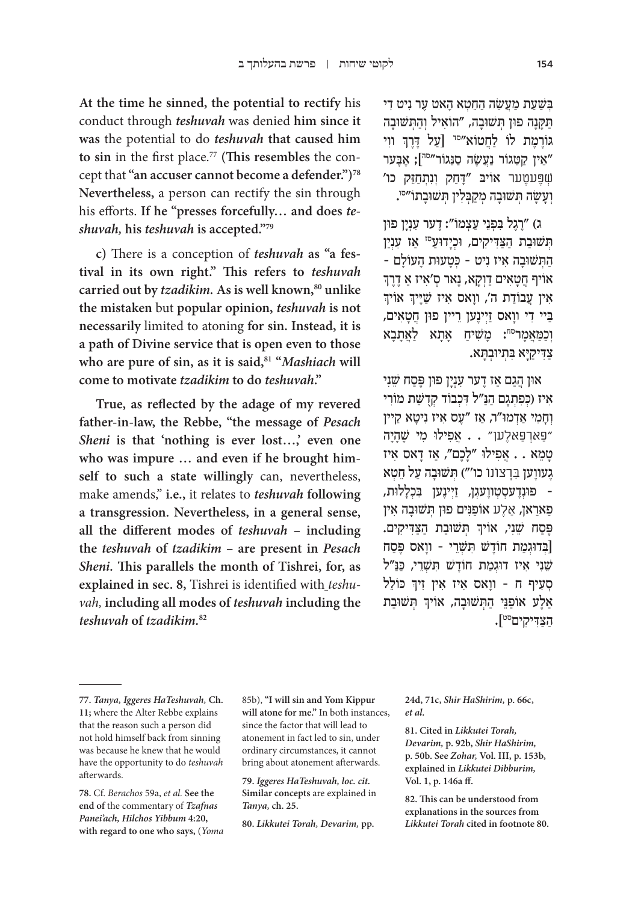ַבשעת מעשה החטא האט ער ניט די תקנה פון תשובה, "הוֹאיל והתשובה ֧֧֧֢ׅ֧֚֝<u>֓</u> גּוֹרֶמֶת לוֹ לַחֲטוֹא<sup>״סד</sup> [עַל דֶּרֶךְ ווִי אֵין קַטֵּגוֹר נַעֲשָׂה סַנֵּגוֹר<sup>״סה</sup>]; אַבער‰ ְׁשֶּפ ֶעטער ּ אוֹ יב ָּ "דַח ְ ק וִנ ְתַחֵּזק כו' וְעָשָׂה תְּשׁוּבָה מְקַבְּלִין תְּשׁוּבָתוֹ״<sup>סו</sup>.

ג) "רְגֵל בִפְנֵי עַצְמוֹ": דֵער עָנְיַן פוּן תשובת הצדיקים, וכידוע<sup>סז</sup> אז ענין - הַתְּשׁוּבָה אִיז נִיט - כְּטָעוּת הָעוֹלָם<br>אויף חטאים דוקא. נאר ס׳איז א דרד אוֹיף חֲטָאִים דַוְקָא, נָאר סְ'אִיז אַ דֶרֶךְ<br>איז עבודת ה'. וואס איז שייר אוֹיד אין עֲבוֹדַת ה', ווָאס איז שַׁיָּיךָ אוֹיך ַבְּיי דִי ווָאס זַיִינָען רֵיין פון חֲטָאִים, וְכַמַּאֲמַר<sup>סח</sup>: מַשִׁיחַ אָתָא לַאֲתָבָא ַצִ ּד ַיק ּיָ ִּא ב ְת ּיוְב ָּתא.

ֿאון הגם אז דער ענין פון פֵּסח שֵׁני אִיז (כִּפְתְגֵם הַנַּ״ל דְכְבוֹד קִדְשֵׁת מוֹרִי וְחֲמִי אֲדְמוּ"ר, אֵז "עֵס אִיז נִיטַא קֵיין " ַפ ְאר ַפ ֶאלען" ֲ . . א ִפ ּ ילו ִ מי שֶׁ ָהָיה ָטֵמ ֲ א . . א ִפ ּ ילו ָ "לֶכ ַ ם", א ָ ז ד ִ אס איז ְגֵעווֶען בְּרְצוֹנוֹ כו'") תְּשׁוּבָה עַל חֵטְא – פוּנְדֵעסְטָווֵעגִן, זַיִינֵען בִכְלַלוּת, ַפַארַאן, אַלֶע אוֹפַנִּים פוּן תְּשׁוּבָה אִין ֧֧֢ׅ֧֢ׅ֧֦֧֦֧֦֧֚֝ פֶּסַח שֵׁנִי, אוֹיךְ תְּשׁוּבַת הַצַּדִּיקִים. בדוגמת חוֹדָשׁ תשרי - וואס פֵּסח שֵׁנִי אִיז דוּגִמַת חוֹדֶשׁ תִשְׁרֵי, כַּנַּ"ל ֧֧֢ׅ֧֢ׅ֧֦֧֦֧֦֧֚֝ סְעִיךְ ח - ווָאס אִיז אין זיך כּוֹלֵל ׅ֧֧֧֢ׅ֖֧֧֧֦֧֧֓֝֬֓֓֓֓֓֓֓֓֬֓֓֬֓֓֬֓֓֬֓֓֬֓֓֬֓֓֬֓֓֓֩֓֓֬֓֬֓֓֬֓֓֓֓֬ ַ אַלֶּע אוֹפַנֵּי הַתְּשׁוּבָה, אוֹיךָ תְּשׁוּבַת ַהַּצִ ּד ִיקיםסט[.

**At the time he sinned, the potential to rectify** his conduct through *teshuvah* was denied **him since it was** the potential to do *teshuvah* **that caused him to sin** in the first place.77 **(This resembles** the concept that **"an accuser cannot become a defender.")78 Nevertheless,** a person can rectify the sin through his efforts. **If he "presses forcefully… and does** *teshuvah,* **his** *teshuvah* **is accepted."79**

**c)** There is a conception of *teshuvah* **as "a festival in its own right." This refers to** *teshuvah* carried out by *tzadikim*. As is well known,<sup>80</sup> unlike **the mistaken** but **popular opinion,** *teshuvah* **is not necessarily** limited to atoning **for sin. Instead, it is a path of Divine service that is open even to those**  who are pure of sin, as it is said,<sup>81</sup> "*Mashiach* will **come to motivate** *tzadikim* **to do** *teshuvah***."**

**True, as reflected by the adage of my revered father-in-law, the Rebbe, "the message of** *Pesach Sheni* is that 'nothing is ever lost...,' even one **who was impure … and even if he brought himself to such a state willingly** can, nevertheless, make amends," **i.e.,** it relates to *teshuvah* **following a transgression. Nevertheless, in a general sense, all the different modes of** *teshuvah* **– including the** *teshuvah* **of** *tzadikim* **– are present in** *Pesach Sheni.* **This parallels the month of Tishrei, for, as explained in sec. 8,** Tishrei is identified with *teshuvah,* **including all modes of** *teshuvah* **including the**  *teshuvah* **of** *tzadikim.***<sup>82</sup>**

85b), **"I will sin and Yom Kippur will atone for me."** In both instances, since the factor that will lead to atonement in fact led to sin, under ordinary circumstances, it cannot bring about atonement afterwards.

**79.** *Iggeres HaTeshuvah, loc. cit.*  **Similar concepts** are explained in *Tanya,* **ch. 25.**

**80.** *Likkutei Torah, Devarim,* **pp.** 

**24d, 71c,** *Shir HaShirim,* **p. 66c,**  *et al.*

**81. Cited in** *Likkutei Torah, Devarim,* **p. 92b,** *Shir HaShirim,*  **p. 50b. See** *Zohar,* **Vol. III, p. 153b, explained in** *Likkutei Dibburim,*  **Vol. 1, p. 146a ff.**

**82. This can be understood from explanations in the sources from**  *Likkutei Torah* **cited in footnote 80.**

**<sup>77.</sup>** *Tanya, Iggeres HaTeshuvah,* **Ch. 11;** where the Alter Rebbe explains that the reason such a person did not hold himself back from sinning was because he knew that he would have the opportunity to do *teshuvah*  afterwards.

**<sup>78.</sup>** Cf. *Berachos* 59a, *et al.* **See the end of** the commentary of *Tzafnas Panei'ach, Hilchos Yibbum* **4:20, with regard to one who says,** (*Yoma*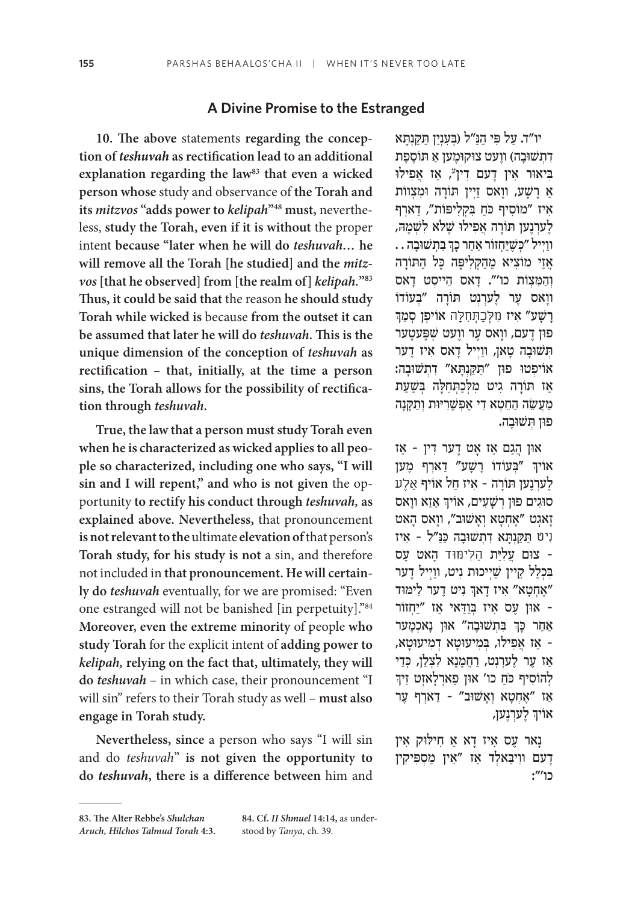#### **A Divine Promise to the Estranged**

**10. The above** statements **regarding the conception of** *teshuvah* **as rectification lead to an additional**  explanation regarding the law<sup>83</sup> that even a wicked **person whose** study and observance of **the Torah and its** *mitzvos* **"adds power to** *kelipah***"48 must,** nevertheless, **study the Torah, even if it is without** the proper intent **because "later when he will do** *teshuvah…* **he will remove all the Torah [he studied] and the** *mitzvos* **[that he observed] from [the realm of]** *kelipah.***"83 Thus, it could be said that** the reason **he should study Torah while wicked is** because **from the outset it can be assumed that later he will do** *teshuvah***. This is the unique dimension of the conception of** *teshuvah* **as rectification – that, initially, at the time a person sins, the Torah allows for the possibility of rectification through** *teshuvah***.**

**True, the law that a person must study Torah even when he is characterized as wicked applies to all people so characterized, including one who says, "I will sin and I will repent," and who is not given** the opportunity **to rectify his conduct through** *teshuvah,* **as explained above. Nevertheless,** that pronouncement **is not relevant to the** ultimate **elevation of** that person's **Torah study, for his study is not** a sin, and therefore not included in **that pronouncement. He will certainly do** *teshuvah* eventually, for we are promised: "Even one estranged will not be banished [in perpetuity]."84 **Moreover, even the extreme minority** of people **who study Torah** for the explicit intent of **adding power to**  *kelipah,* **relying on the fact that, ultimately, they will do** *teshuvah* – in which case, their pronouncement "I will sin" refers to their Torah study as well – **must also engage in Torah study.**

**Nevertheless, since** a person who says "I will sin and do *teshuvah*" **is not given the opportunity to do** *teshuvah***, there is a difference between** him and

יו"ד. עַל פִּי הַנַּ"ל (בְּעָנְיַן תַקְנְתָּא דְתְשׁוּבָה) ווַעט צוקוּמֵען אַ תוֹסֶפֶת בִּיאוּר אין דָעם דִין", אַז אֲפִילוּ אַ רָשָׁע, ווָאס זַיְין תּוֹרָה וּמִצְווֹת איז "מוֹסיף כֹח בקליפות", דארף ַלְעַרְנֵען תּוֹרַה אֲפִילוּ שֵׁלֹא לְשָׁמַה, ׅ֧֧֧֢ׅ֖֧֧֧֦֧֧֓֝֬֓֓֓֓֓֓֓֓֬֓֓֬֓֓֬֓֓֬֓֓֬֓֓֬֓֓֬֓֓֓֩֓֓֬֓֬֓֓֬֓֓֓֓֬  $\ldots$  וּוַיְיל ״כְשֶׁיַּחְזוֹר אַחַר כָּךְ בִּתְשׁוּבָה אֲזַי מוֹצִיא מֵהַקְלִיפָּה כָּל הַתּוֹרָה וְהַמַצְוֹת כו'". דַאס הֵייסִט דַאס ווַאס עֵר לֵערִנְט תּוֹרָה ״בְּעוֹדוֹ ַרְשַׁע" אִיז ּמִלְכַתְּחִלָּה אוֹיפִן סִמַךְ פון דעם, וואס ער וועט שפּעטער תְּשׁוּבָה טָאן, ווַיִ<sup>יַ</sup>ל דָאס איז דָער אוֹיפִטוּ פון "תַקַנְתָא" דְתְשׁוּבָה: אַז תּוֹרָה גִיט מִלְכַתְחִלָּה בְּשַׁעַת ַמַעֲשֶׂה הַחֵטְא דִי אֵפְשַׁרִיּוּת וְתַקַּנָּה ָ פון תשובה.

ּאו ֲ ן הַג ַם א ָ ז א ֶט ד ִ ער ד ַ ין – אז ְאויך "בְּעוֹדוֹ רָשָׁע" דַארְף מֶען ַלְעַרְנֵען תּוֹרָה - אִיז חַל אוֹיף אַלֵע ְסוּגִים פון רְשָׁעִים, אויך אַזַא ווָאס **יְזאגט "אֶחְטָא וְאָשׁוּב", ווָא**ס הַאט ִניט ַּ ת ַּקְנ ָּת ִא דְת ּשׁ וָב ַה כּ ַנּ ִ "ל – איז ּ – צו ֲ ם ע ִל ּיַת ַה ִּליּמּוד ָ ה ֶ אט עס בכלל קיין שייכות ניט, ווייל דער ֧֧֧֢ׅ֧֚֝<u>֓</u> "אָחְטָא" איז דָאך ניט דֶער לימּוד ּ – או ֶ ן ע ִ ס א ְּ יז בַוַּד ַ אי א ַ ז "י ְחזוֹ ר ׅ֧֖֖֖֖֖֖֖֖֖ׅ֖ׅ֖ׅ֖֧ׅ֧ׅ֖֪֪ׅ֧֧֧֪ׅ֪֪֪֪֪ׅ֪֪ׅ֪ׅ֚֚֚֚֚֚֚֚֚֚֚֚֚֚֚֚֚֚֚֚֓֬֝֓֞֝֬֓֞֝֓֓֝֬֝֬֞֝֬֓֓֝֬֓ ַ אַחַר כְּךְ בִּתְשׁוּבָה" אוּן נָאכְמֶער - אַז אַפִילוּ, בִמִיעוּטָא דִמִיעוּטָא, ְ אֵז עֵר לֵערִנְט, רַחֲמַנַא לִצְלַן, כְּדֵי לְהוֹסִיף כּחַ כו' און פַארִלַאזְט זִיך ֿאַ ״אַחִטַא וְאַשוּב״ - דַארִף עֵר ְאויך לָערְנָען,

ַנאר עֵס אִיז דַא אַ חִילוּק אִין ַ דַעם ווִיבַאלְד אַז "אֵין מַסִפִּיקִין כו'":

**<sup>83.</sup> The Alter Rebbe's** *Shulchan Aruch, Hilchos Talmud Torah* **4:3.**

**<sup>84.</sup> Cf.** *II Shmuel* **14:14,** as understood by *Tanya,* ch. 39*.*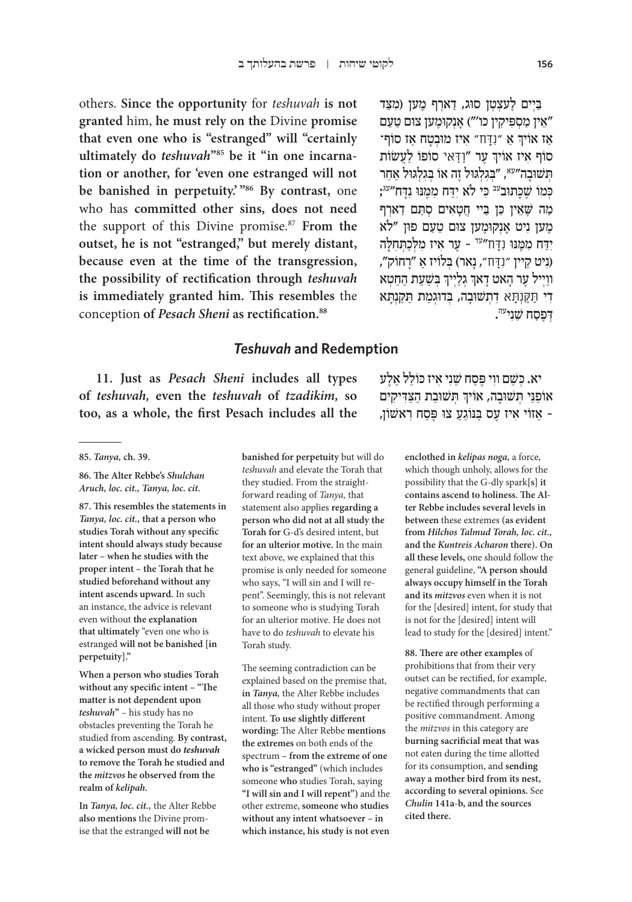others. **Since the opportunity** for *teshuvah* **is not granted** him, **he must rely on the** Divine **promise that even one who is "estranged" will "certainly ultimately do** *teshuvah***"85 be it "in one incarnation or another, for 'even one estranged will not be banished in perpetuity.' "86 By contrast,** one who has **committed other sins, does not need**  the support of this Divine promise.87 **From the outset, he is not "estranged," but merely distant, because even at the time of the transgression, the possibility of rectification through** *teshuvah* **is immediately granted him. This resembles** the conception **of** *Pesach Sheni* **as rectification.88**

#### ַבִּיים לעצטן סוּג, דארף מען (מצד אַנְקוּמֶען צוּם טַעַם" ("") אַנְקוּמֶען צוּם טַעַם ׇׅ֧֧֖֧֚֓֝֬֓֓<u>֚</u> אַז אויך אַ "נִדָּח" איז מוּבְטָח אַז סו<mark>ו</mark> ְָסוֹף איז אוֹיךְ עֶר "וַדַאי סוֹפוֹ לַעֲשׂוֹת ת שוּבה"<sup>עא</sup>, "בגלגוּל זה אוֹ בגלגוּל אחר ּכִּמוֹ שֶׁכּתוּב<sup>עב</sup> כי לֹא ידח ממֵנּוּ נדִח"<sup>עג</sup>; מה שֵׁאין כּוְ בִיי חָטאים סתּם דארף ָמְען נִיט אַנְקוּמֶען צוּם טַעַם פון "לֹא יִדַּח מִמֶּנּוּ וְדָח″<sup>עד</sup> - עֶר אִיז מִלְכַתְחִלָּה ִ)נ ֵ יט קיין " ִנָּדח" ָ , נ ְּ אר( ב ַ לוֹ יז א ָ "רחוֹ ק", ְוּוַיְיל עֶר הָאט דָאךְ גְלַיְיךָ בְּשַׁעַת הַחֵטְא ֦֧֖֖֖֖֖֖֖֖֖֧֪ׅ֚֚֚֚֚֚֚֚֚֚֚֚֚֚֝֬֝֓֓֓֞֟֓֡֓֞֟֓֡֓֬֓֓֞֬֓֓֞֓֡֓֬֓֓֞֬֝֓֞֓֬֝֬ ָדִי תַּקַּנְתָּא דְתְשׁוּבָה, בְּדוּגְמַת תַּקַנְתַּא . ְ ּדֶפַסח שֵׁ ִניעה

## *Teshuvah* **and Redemption**

**11. Just as** *Pesach Sheni* **includes all types of** *teshuvah,* **even the** *teshuvah* **of** *tzadikim,* **so too, as a whole, the first Pesach includes all the**

**87. This resembles the statements in**  *Tanya, loc. cit.,* **that a person who studies Torah without any specific intent should always study because later – when he studies with the proper intent – the Torah that he studied beforehand without any intent ascends upward.** In such an instance, the advice is relevant even without **the explanation that ultimately** "even one who is estranged **will not be banished [in perpetuity]."**

**When a person who studies Torah without any specific intent – "The matter is not dependent upon**  *teshuvah***"** – his study has no obstacles preventing the Torah he studied from ascending. **By contrast, a wicked person must do** *teshuvah*  **to remove the Torah he studied and the** *mitzvos* **he observed from the realm of** *kelipah.*

**In** *Tanya, loc. cit.,* the Alter Rebbe **also mentions** the Divine promise that the estranged **will not be** 

**banished for perpetuity** but will do *teshuvah* and elevate the Torah that they studied. From the straightforward reading of *Tanya,* that statement also applies **regarding a person who did not at all study the Torah for** G-d's desired intent, but **for an ulterior motive.** In the main text above, we explained that this promise is only needed for someone who says, "I will sin and I will repent". Seemingly, this is not relevant to someone who is studying Torah for an ulterior motive. He does not have to do *teshuvah* to elevate his Torah study.

The seeming contradiction can be explained based on the premise that, **in** *Tanya,* the Alter Rebbe includes all those who study without proper intent. **To use slightly different wording:** The Alter Rebbe **mentions the extremes** on both ends of the spectrum **– from the extreme of one who is "estranged"** (which includes someone **who** studies Torah, saying **"I will sin and I will repent")** and the other extreme, **someone who studies without any intent whatsoever – in which instance, his study is not even** 

יא. כּשֵׁם ווי פֵּסח שֵׁני איז כּוֹלל אלע ְאוֹפַנֵּי תְּשׁוּבָה, אוֹיךְ תְּשׁוּבַת הַצַּדִּיקִים ַ– א ִ זוֹ י א ֶ יז ע ַּס ב ֵנּוֹ גַע ּ צו פֶּ ַס ִח ראשׁ וֹ ן,

> **enclothed in** *kelipas noga,* a force, which though unholy, allows for the possibility that the G-dly spark**[s] it contains ascend to holiness. The Alter Rebbe includes several levels in between** these extremes **(as evident from** *Hilchos Talmud Torah, loc. cit.,*  **and the** *Kuntreis Acharon* **there). On all these levels,** one should follow the general guideline, **"A person should always occupy himself in the Torah and its** *mitzvos* even when it is not for the [desired] intent, for study that is not for the [desired] intent will lead to study for the [desired] intent."

**88. There are other examples** of prohibitions that from their very outset can be rectified, for example, negative commandments that can be rectified through performing a positive commandment. Among the *mitzvos* in this category are **burning sacrificial meat that was**  not eaten during the time allotted for its consumption, and **sending away a mother bird from its nest, according to several opinions.** See *Chulin* **141a-b, and the sources cited there.**

**<sup>85.</sup>** *Tanya,* **ch. 39.**

**<sup>86.</sup> The Alter Rebbe's** *Shulchan Aruch, loc. cit., Tanya, loc. cit.*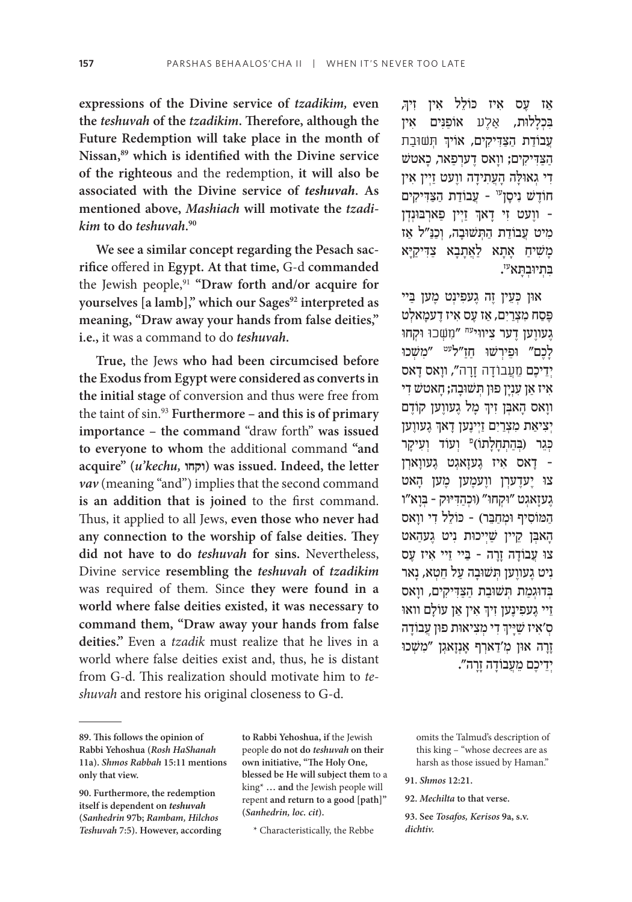**expressions of the Divine service of** *tzadikim,* **even the** *teshuvah* **of the** *tzadikim***. Therefore, although the Future Redemption will take place in the month of Nissan,89 which is identified with the Divine service of the righteous** and the redemption, **it will also be associated with the Divine service of** *teshuvah***. As mentioned above,** *Mashiach* **will motivate the** *tzadikim* **to do** *teshuvah***. 90**

**We see a similar concept regarding the Pesach sacrifice** offered in **Egypt. At that time,** G-d **commanded**  the Jewish people,91 **"Draw forth and/or acquire for**  yourselves [a lamb]," which our Sages<sup>92</sup> interpreted as **meaning, "Draw away your hands from false deities," i.e.,** it was a command to do *teshuvah***.**

**True,** the Jews **who had been circumcised before the Exodus from Egypt were considered as converts in the initial stage** of conversion and thus were free from the taint of sin.93 **Furthermore – and this is of primary importance – the command** "draw forth" **was issued to everyone to whom** the additional command **"and acquire" (***u'kechu,* **וקחו (was issued. Indeed, the letter**  *vav* (meaning "and") implies that the second command **is an addition that is joined** to the first command. Thus, it applied to all Jews, **even those who never had any connection to the worship of false deities. They did not have to do** *teshuvah* **for sins.** Nevertheless, Divine service **resembling the** *teshuvah* **of** *tzadikim*  was required of them*.* Since **they were found in a world where false deities existed, it was necessary to command them, "Draw away your hands from false deities."** Even a *tzadik* must realize that he lives in a world where false deities exist and, thus, he is distant from G-d. This realization should motivate him to *teshuvah* and restore his original closeness to G-d.

**to Rabbi Yehoshua, if** the Jewish people **do not do** *teshuvah* **on their own initiative, "The Holy One, blessed be He will subject them** to a king\* **… and** the Jewish people will repent **and return to a good [path]" (***Sanhedrin, loc. cit***).**

 ,ְ ַא ֶ ז ע ִ ס א ֵ יז כּ וֹ ל ִ ל א ִ ין זיך בכללות, אלע אוֹפנים אין .<br>עֲבוֹדַת הַצַדִּיקִים, אוֹיךְ חְשׁוּבַת ַהַּצִ ּד ִיק ָ ים; וו ֶ אס ד ְערַפ ָ אר, כאטשׁ ּדִי גְאוּלָה הָעֲתִידָה ווֶעט זַיְין אִין חוֹדָשׁ נִיסָן<sup>עו</sup> - עֲבוֹדַת הַצַּדִּיקִים ְוועט זי דאך זיין פארבונדן -מיט עַבוֹדת התשובה, וְכִנ"ל אז ַמְשִׁיחַ אָתָא לַאֲתָבָא צַדִּיקַיַא ָבְתְיוּבְהָא<sup>ְ</sup>יִי

און כִעֵין זֵה גֵעפִינִט מֵען בַּיי פֶּסַח מִצְרַיִם, אַז עֵס אִיז דֵעמַאלְט ָגעווען דער ציווי<sup>עח</sup> "מִשְכוּ וּקְחו לַכֶם" וּפֵירִשׁוּ חַזַ"ל<sup>עט</sup> "מַשָּׁכוּ יִדִיכֶם מֶעֲבוֹדָה זַרָה", ווַאס דָאס איז אן ענין פון תשובה; חאטש די ֧֧֧֢ׅ֧֢ׅ֧֚֝֓֓<u>֚</u> ווָאס הָאבְן זִיךְ מָל גָעווֶען קוֹדֶם ׅ֧֧֧֢ׅ֖֧֧֧֦֧֧֓֝֬֓֓֓֓֓֓֓֓֬֓֓֬֓֓֬֓֓֬֓֓֬֓֓֬֓֓֬֓֓֓֩֓֓֬֓֬֓֓֬֓֓֓֓֬ יִצִיאַת מִצְרַיִם זַיְינֶען דָאךְ גֶעווֶען כְּגֵר (בְּהַתְחָלָתוֹ)<sup>פּ</sup> וְעוֹד וְעִיקָר ַ דאס איז געזאגט געווארן -צו יַעדערן ווֵעמֵען מֵען הָאט גְעזַאגִט "וּקְחוּ" (וּכְהַדִּיּוּק - בְּוַא"ו ַה ּמ ִוֹ ס ּ יף ו ְמַחֵּב ֵ ר( – כּ וֹ ל ִל ד ָ י וואס ְהַאבְן קֵיין שַׁיִיכוּת נִיט גֵעהָאט ּצו ֲ ע ָבוֹ ד ָה זָר ַּ ה – ב ֵ יי ז ִ יי א ֶ יז עס **ינט געווען תשובה על חֵטְא, נַאר** ַבְּדוּגְמַת תְּשׁוּבַת הַצַּדִּיקִים, ווַאס ְַזִיי גָעפִינֶען זִיךְ אין אַן עוֹלָם וואו ֧֧֧֢ׅ֧֢ׅ֧֚֝֓֓<u>֚</u> ְסְ'אִיז שַׁיָּיךְ דִי מְצִיאוּת פוּן עֲבוֹדָה **ַזְרָה און מ'דַארִף אַנְזַאג**ָן "מִשְׁכו יִדְיכֶם מֵעֲבוֹדָה זָרָה".

> omits the Talmud's description of this king – "whose decrees are as harsh as those issued by Haman."

**92.** *Mechilta* **to that verse.**

**93. See** *Tosafos, Kerisos* **9a, s.v.**  *dichtiv.*

**<sup>89.</sup> This follows the opinion of Rabbi Yehoshua (***Rosh HaShanah*  **11a).** *Shmos Rabbah* **15:11 mentions only that view.**

**<sup>90.</sup> Furthermore, the redemption itself is dependent on** *teshuvah* **(***Sanhedrin* **97b;** *Rambam, Hilchos Teshuvah* **7:5). However, according** 

<sup>\*</sup> Characteristically, the Rebbe

**<sup>91.</sup>** *Shmos* **12:21.**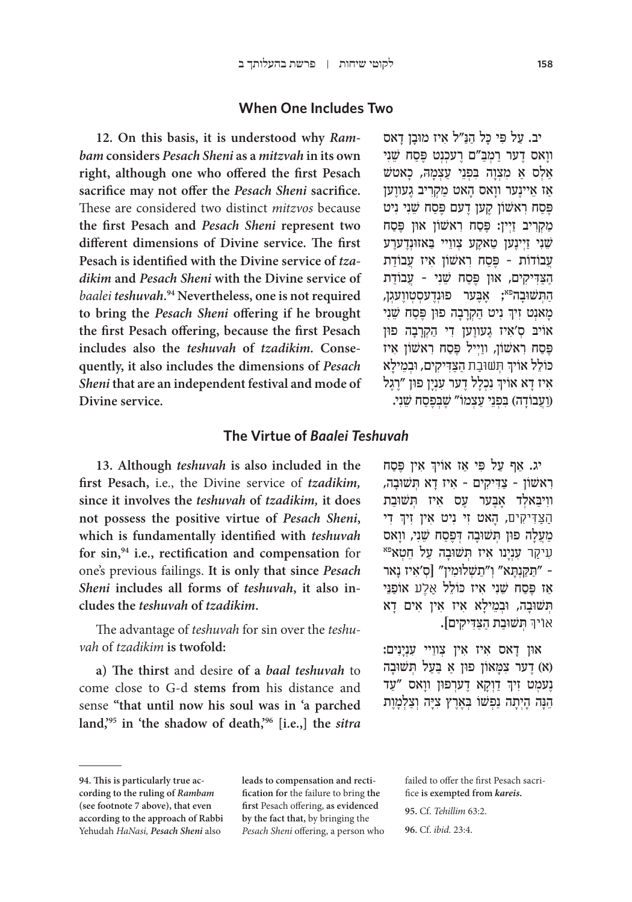## **When One Includes Two**

**12. On this basis, it is understood why** *Rambam* **considers** *Pesach Sheni* **as a** *mitzvah* **in its own right, although one who offered the first Pesach sacrifice may not offer the** *Pesach Sheni* **sacrifice.**  These are considered two distinct *mitzvos* because **the first Pesach and** *Pesach Sheni* **represent two different dimensions of Divine service. The first Pesach is identified with the Divine service of** *tzadikim* **and** *Pesach Sheni* **with the Divine service of**  *baalei teshuvah***. 94 Nevertheless, one is not required to bring the** *Pesach Sheni* **offering if he brought the first Pesach offering, because the first Pesach includes also the** *teshuvah* **of** *tzadikim.* **Consequently, it also includes the dimensions of** *Pesach Sheni* **that are an independent festival and mode of Divine service.**

יב. עַל פִּי כַּל הַנֵּ״ל אִיז מוּבַן דַאס ווַאס דֵער רַמְבַּ״ם רֵעכִנְט פֵּסַח שֵׁנִי ַאַלְס אַ מִצְוַה בִּפְנֵי עַצְמַה, כָאטש ֿאַז אֵיינָער ווָאס הָאט מַקְרִיב גָעווֶען פֵּסַח רְאשׁוֹן קֵעוֹ דֵעם פֵּסַח שֵׁנִי נִיט ַמַקְרִיב זַיְין: פֶּסַח רְאשׁוֹן אוּן פֵּסַח שֵׁנִי זַיִינֵען טַאקֵע צִווֵיי בַאזוּנְדֵערֵע ַעֲבוֹדוֹת - פֵּסַח רֹאשׁוֹן איז עַבוֹדת הַצַדִּיקים, און פֵּסַח שֵׁנִי - עֲבוֹדַת הַתִּשׁוּבַה<sup>פּא</sup>; אַבֵּער פוּנְדֵעסְטְווֵעגִן, ֧֧֧֢ׅ֧֢ׅ֧֚֝<u>֓</u> מְאנְט זִיךְ נִיט הַקְרָבָה פוּן פֶּסַח שֵׁנִי ֿ אויב סְ'אִיז גָעווֶען די הַקְרָבָה פון פֶּסַח רְאשׁוֹן, ווַיִיל פֶּסַח רְאשׁוֹן אִיז .<br>כולל אויך חְשוּבַת הַצַדִיקים, ובְמֵילָא ְאִיז דָא אוֹיךְ נִכְלָל דֶער עִנְיָן פוּן "רֶגֶל (וַעֲבוֹדַה) בִּפְנֵי עַצְמוֹ" שֵׁבְפֵסַח שֵׁנִי.

## **The Virtue of** *Baalei Teshuvah*

**13. Although** *teshuvah* **is also included in the first Pesach,** i.e., the Divine service of *tzadikim,*  **since it involves the** *teshuvah* **of** *tzadikim,* **it does not possess the positive virtue of** *Pesach Sheni***, which is fundamentally identified with** *teshuvah* **for sin,94 i.e., rectification and compensation** for one's previous failings. **It is only that since** *Pesach Sheni* **includes all forms of** *teshuvah***, it also includes the** *teshuvah* **of** *tzadikim***.**

The advantage of *teshuvah* for sin over the *teshuvah* of *tzadikim* **is twofold:**

**a) The thirst** and desire **of a** *baal teshuvah* to come close to G-d **stems from** his distance and sense **"that until now his soul was in 'a parched land,'95 in 'the shadow of death,'96 [i.e.,] the** *sitra* 

֧֧֢ׅ֧֢ׅ֧֦֧֦֧֦֧֚֝ יג. אַף עַל פּי אַז אויך אין פֶּסַח ִר ַ אשׁ וֹ ן – צִ ּד ִיק ִ ים – א ָ יז ד ְּא ת ּשׁ וָבה, ווִיבַאלְד אָבֶער עָס אִיז תִשׁוּבַת ׅ֧֧֧֢ׅ֖֧֧֧֦֧֧֓֝֬֓֓֓֓֓֓֓֓֬֓֓֬֓֓֬֓֓֬֓֓֬֓֓֬֓֓֬֓֓֓֩֓֓֬֓֬֓֓֬֓֓֓֓֬ ִ די ַה ַּצ ִּד ִיקים ָ , ה ִ אט ז ִ י נ ִ יט א ִ ין זיך מַעֲלָה פוּן תְּשׁוּבָה דְּפֶסַח שֵׁנִי, ווָאס<br>עִיקַר עִנְיָנו אִיז תְּשׁוּבָה עַל חֵטָא<sup>פּא</sup> ַּ – "ת ַּקְנ ָּת ְ א" ו ַ"תשׁ ְ ּלו ִמ ְ ין" ]ס ִ'א ָ יז נאר אז פֵּסח שֵׁני איז כּוֹלֵל אַלֶע אוֹפּנֵי הָשׁוּבָה, וּבְמֵילָא אִיז אִין אִים דָא ֿאויך תשובת הַצַדִיקים].

און דאס איז אין צוויי עִנְיַנִים: א) דער צמַאוֹן פון אַ בַעַל תְּשׁוּבָה) (א ׇ֦֧֧֢ׅ֧֝֬֓<u>֓</u> ָנְעַמְט זִיךְ דַוְקָא דֶערְפוּן ווָאס "עַד הֵנָּה הָיִתָה נַפִּשׁוֹ בִּאֶרֶץ צִיָּה וְצַלְמָוֶת

**leads to compensation and rectification for** the failure to bring **the first** Pesach offering, **as evidenced by the fact that,** by bringing the *Pesach Sheni* offering, a person who failed to offer the first Pesach sacrifice **is exempted from** *kareis.*

**95.** Cf. *Tehillim* 63:2. **96.** Cf. *ibid.* 23:4.

**<sup>94.</sup> This is particularly true according to the ruling of** *Rambam*  **(see footnote 7 above), that even according to the approach of Rabbi**  Yehudah *HaNasi, Pesach Sheni* also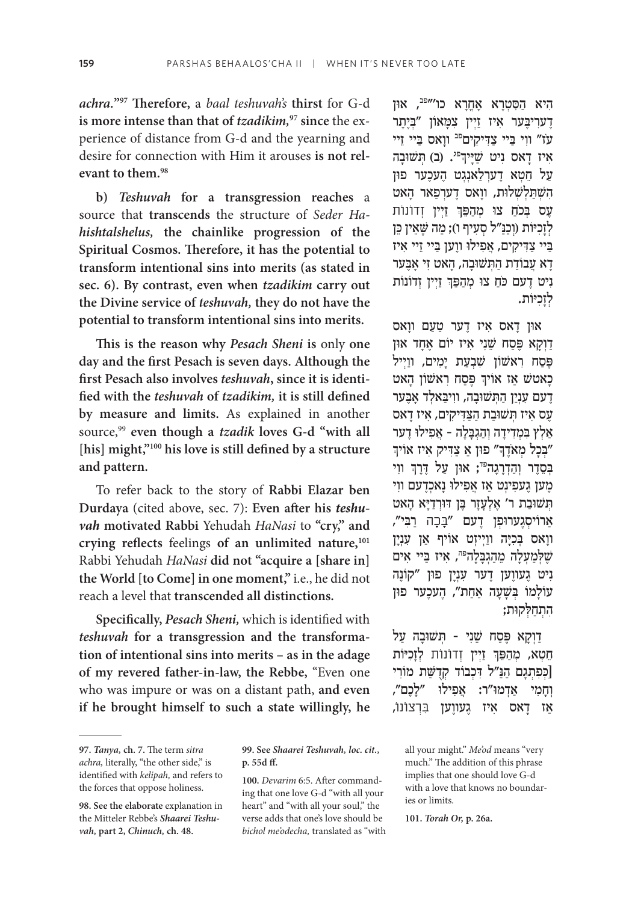*achra.***"97 Therefore,** a *baal teshuvah's* **thirst** for G-d **is more intense than that of** *tzadikim,***97 since** the experience of distance from G-d and the yearning and desire for connection with Him it arouses **is not relevant to them.98**

**b)** *Teshuvah* **for a transgression reaches** a source that **transcends** the structure of *Seder Hahishtalshelus,* **the chainlike progression of the Spiritual Cosmos. Therefore, it has the potential to transform intentional sins into merits (as stated in sec. 6). By contrast, even when** *tzadikim* **carry out the Divine service of** *teshuvah,* **they do not have the potential to transform intentional sins into merits.**

**This is the reason why** *Pesach Sheni* **is** only **one day and the first Pesach is seven days. Although the first Pesach also involves** *teshuvah***, since it is identified with the** *teshuvah* **of** *tzadikim,* **it is still defined by measure and limits.** As explained in another source, <sup>99</sup> **even though a** *tzadik* **loves G-d "with all [his] might,"100 his love is still defined by a structure and pattern.**

To refer back to the story of **Rabbi Elazar ben Durdaya** (cited above, sec. 7): **Even after his** *teshuvah* **motivated Rabbi** Yehudah *HaNasi* to **"cry," and**  crying reflects feelings of an unlimited nature,<sup>101</sup> Rabbi Yehudah *HaNasi* **did not "acquire a [share in] the World [to Come] in one moment,"** i.e., he did not reach a level that **transcended all distinctions.**

**Specifically,** *Pesach Sheni,* which is identified with *teshuvah* **for a transgression and the transformation of intentional sins into merits – as in the adage of my revered father-in-law, the Rebbe,** "Even one who was impure or was on a distant path, **and even if he brought himself to such a state willingly, he** 

**100.** *Devarim* 6:5. After commanding that one love G-d "with all your heart" and "with all your soul," the verse adds that one's love should be *bichol me'odecha,* translated as "with

היא הסטרא אחרא כו'"<sup>פב</sup>, און דעריבער איז זיין צמאון "ביתר עז" ווי ביי צַדִיקים<sup>פב</sup> ווַאס בַיי זֵיי יִני וּ<sup>פג</sup>. (ב) תְּשׁוּבָה (הַעֲ ַ על חטא דערלאנגט העכער פון הִשְׁתַלְשָׁלוּת, ווַאס דֵערִפַּאר הָאט ׅ֧֧֧֢ׅ֖֧֧֧֦֧֧֓֝֬֓֓֓֓֓֓֓֓֬֓֓֬֓֓֬֓֓֬֓֓֬֓֓֬֓֓֬֓֓֓֩֓֓֬֓֬֓֓֬֓֓֓֓֬ עֶס בְּכֹחַ צוּ מְהַפֵּךְ זַיְין זְדוֹנוֹת לְזָכִיּוֹת (וְכַנַּ״ל סְעָיף ו); מַה שֵׁאֵין כֵּן ביי צדיקים, אפילו ווען ביי זיי איז ַדַא עֲבוֹדַת הַתְּשׁוּבַה, הָאט זִי אַבֶּער ֧֧֧֢ׅ֧֢ׅ֧֚֝֓֓<u>֚</u> וִיט דָעם כּחַ צוּ מְהַפֵּךְ זַיְין זְדוֹנוֹת לזכיות.

ּאו ָ ן ד ִ אס א ֶ יז ד ַ ער טַע ָ ם וואס ַדְוָקָא פֶּסָח שֵׁנִי אִיז יוֹם אֲחָד און פֵּסַח רְאִשׁוֹן שִׁבְעַת יַמִים, ווַיִּיל כאטש אַז אויך פֶּסַח ראשון הָאט ָדְעם עָנִין הַתְּשׁוּבָה, וויִבְּאלְד אַבֶּער ֶע ִס א ְּ יז ת ּשׁ וַב ַת הַּצִ ּד ִיק ִ ים, א ָ יז דאס ְאַלְץ בְמִדְידָה וְהַגְבָלָה - אֲפִילוּ דֵער ָיִבְּכָל מְאֹדֶךְ" פוּן אַ צַדִּיק אִיז אוֹיך" ֧֧֧֢ׅ֧֢ׅ֧֚֝֓֓<u>֚</u> ּבְסֵדֶר וְהַדְרָגָה<sup>פּד</sup>; אוּן עַל דֶּרֶךְ ווִי ֶמ ֶ ען ג ִעפ ְינ ַט א ֲ ז א ִפ ּ ילו ָ נ ְאכֶד ִ עם ווי ְּת ּשׁ וַב ֶ ת ר' א ְלָעָז ֶּר ב ּ ן דּוְרַדּיָ ָא האט אַרוֹיסְגֶערוּפ<sup>ַ</sup>ן דֶעם "בָּכָה רַבִּי", ָוו ְּ אס ב ִכּיָ ַ ה ווְי ְיז ַ ט אוֹ יף א ִ ן עְנָין שֵׁלְמַעָלַה מֵהַגְבַלַה<sup>פּה</sup>, אִיז בַּיי אִים ניט געווען דער עִנְיַן פון "קוֹנֶה ָעוֹלַמוֹ בְּשֵׁעֲה אַחָת", הֻעֹּכֶעַר פון ִה ְתַח ּל ְ ּקות;

דוִקא פֵּסַח שֵׁנִי - תְּשׁוּבָה עַל ְְחֵטְא, מְהַפֵּךְ זַיְין זְדוֹנוֹת לְזָכִיּוֹת |כִפְתְגָם הַנַּ״ל דְכְבוֹד קִדְשָׁת מוֹרִי יִחמי אִדְמוּ״ר: אִפילוּ ״לְכֶם״, ָאַז דַאס איז געווען בִרצונו,

**101.** *Torah Or,* **p. 26a.**

**<sup>97.</sup>** *Tanya,* **ch. 7.** The term *sitra achra,* literally, "the other side," is identified with *kelipah,* and refers to the forces that oppose holiness.

**<sup>98.</sup> See the elaborate** explanation in the Mitteler Rebbe's *Shaarei Teshuvah,* **part 2,** *Chinuch,* **ch. 48.**

**<sup>99.</sup> See** *Shaarei Teshuvah, loc. cit.,*  **p. 55d ff.**

all your might." *Me'od* means "very much." The addition of this phrase implies that one should love G-d with a love that knows no boundaries or limits.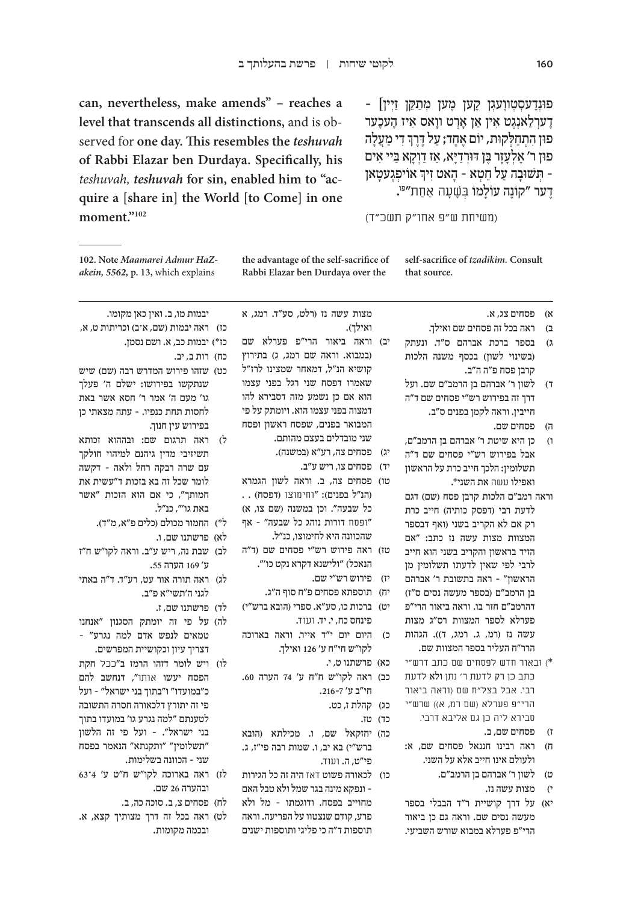**can, nevertheless, make amends" – reaches a level that transcends all distinctions,** and is observed for **one day. This resembles the** *teshuvah* **of Rabbi Elazar ben Durdaya. Specifically, his**  *teshuvah, teshuvah* **for sin, enabled him to "acquire a [share in] the World [to Come] in one moment."102**

<sup>ַ</sup> פּוּנְדֵעסְטְווֵעגָן קֵען מֵען מִתַּקֵּן זַיִּין] דערלאנגט אין אן ארט וואס איז העכער ׅ֧֧֧֢ׅ֖֧֧֧֦֧֧֓֝֬֓֓֓֓֓֓֓֓֬֓֓֬֓֓֬֓֓֬֓֓֬֓֓֬֓֓֬֓֓֓֩֓֓֬֓֬֓֓֬֓֓֓֓֬ פוּן הִתְחַלְקוּת, יוֹם אֶחָד; עַל דֶרֶךְ דִי מַעֲלָה ּפון ר' אֵלְעַזַר בֵּן דּוּרְדַיַּא, אַז דַוְקַא בִיי אִים ְן אויפְגֶעטָאן - הָאט זִיךְ אוֹיפְגֶעטָאן -ָדָער "קוֹנֶה עוֹלָמוֹ בְּשָׁעָה אַחַת״<sup>פּו</sup>.

)משיחת ש״פ אחו״ק תשכ״ד(

**the advantage of the self-sacrifice of Rabbi Elazar ben Durdaya over the self-sacrifice of** *tzadikim.* **Consult that source.**

**102. Note** *Maamarei Admur HaZakein, 5562,* **p. 13,** which explains

יבמות מו, ב. ואין כאן מקומו. כז) ראה יבמות (שם, א־ב) וכריתות ט, א,

כט) שזהו פירוש המדרש רבה (שם) שיש שנתקשו בפירושו: ישלם ה׳ פעלך גו׳ מעם ה׳ אמר ר׳ חסא אשר באת לחסות תחת כנפיו. – עתה מצאתי כן

ל( ראה תרגום שם: ובההוא זכותא תשיזיבי מדין גיהנם למיהוי חולקך עם שרה רבקה רחל ולאה – דקשה לומר שכל זה בא בזכות ד"עשית את חמותך", כי אם הוא הזכות "אשר

כז\*( יבמות כב, א. ושם נסמן.

בפירוש עין חנוך.

באת גו'", כנ״ל.

ע׳ 169 הערה .55

לגני ה׳תשי״א פ״ב.

לא) פרשתנו שם, ו.

ל\*) החמור מכולם (כלים פ״א, מ״ד).

לב) שבת נה, ריש ע״ב. וראה לקו״ש ח״ז

לג) ראה תורה אור עט, רע״ד. ד״ה באתי

כח) רות ב, יב.

א( פסחים צג, א.

- ב( ראה בכל זה פסחים שם ואילך.
- ג) בספר ברכת אברהם ס"ד. ונעתק )בשינוי לשון( בכסף משנה הלכות קרבן פסח פ״ה ה״ב.
- ד( לשון ר׳ אברהם בן הרמב״ם שם. ועל דרך זה בפירוש רש״י פסחים שם ד״ה חייבין. וראה לקמן בפנים ס״ב.
	- ה( פסחים שם.
- ו( כן היא שיטת ר׳ אברהם בן הרמב״ם, אבל בפירוש רש״י פסחים שם ד״ה תשלומין: הלכך חייב כרת על הראשון ואפילו עשה את השני\*.
- וראה רמב״ם הלכות קרבן פסח )שם( דגם לדעת רבי (דפסק כותיה) חייב כרת רק אם לא הקריב בשני )ואף דבספר המצוות מצות עשה נז כתב: "אם הזיד בראשון והקריב בשני הוא חייב לרבי לפי שאין לדעתו תשלומין מן הראשון" – ראה בתשובת ר׳ אברהם בן הרמב״ם )בספר מעשה נסים ס״ז( דהרמב״ם חזר בו. וראה ביאור הרי״פ פערלא לספר המצוות רס״ג מצות עשה נז (רמ, ג. רמג, ד)). הגהות הרר״ח העליר בספר המצוות שם.
- \*( ובאור חדש לפסחים שם כתב דרש״י כתב כן רק לדעת ר׳ נתן ולא לדעת רבי. אבל בצל״ח שם )וראה ביאור הרי״פ פערלא (שם רמ, א)) שרש״י סבירא ליה כן גם אליבא דרבי.
	- ז( פסחים שם, ב.
- ח( ראה רבינו חננאל פסחים שם, א: ולעולם אינו חייב אלא על השני.
	- ט( לשון ר׳ אברהם בן הרמב״ם.
		- י( מצות עשה נז.
- יא) על דרך קושיית ר״ד הבבלי בספר מעשה נסים שם. וראה גם כן ביאור הרי״פ פערלא במבוא שורש השביעי.

מצות עשה נז )רלט, סע״ד. רמג, א ואילך). יב) וראה ביאור הרי״פ פערלא שם )במבוא. וראה שם רמג, ג( בתירוץ קושיא הנ״ל, דמאחר שמצינו לרז״ל שאמרו דפסח שני רגל בפני עצמו הוא אם כן נשמע מזה דסבירא להו דמצוה בפני עצמו הוא. ויומתק על פי המבואר בפנים, שפסח ראשון ופסח

- שני מובדלים בעצם מהותם. יג) פסחים צה, רע״א (במשנה).
	- יד) פסחים צו, ריש ע״ב.
- טו( פסחים צה, ב. וראה לשון הגמרא )הנ״ל בפנים(: "וחימוצו )דפסח( . . כל שבעה". וכן במשנה (שם צו, א) ״ופסח דורות נוהג כל שבעה״ – אף שהכוונה היא לחימוצו, כנ״ל.
- טז) ראה פירוש רש״י פסחים שם (ד״ה הנאכל) "ולישנא דקרא נקט כו׳".
	- יז) פירוש רש״י שם.
	- יח( תוספתא פסחים פ״ח סוף ה״ג.
- יט) ברכות כו, סע״א. ספרי (הובא ברש״י) פינחס כח, י. יד. ועוד.
	- כ( היום יום י״ד אייר. וראה בארוכה לקו״ש חי״ח ע׳ 126 ואילך.
		- כא) פרשתנו ט, י.
- כב) ראה לקו"ש ח"ח ע' 74 הערה 60. חי״ב ע' .216-7
	- כג) קהלת ז, כט.
		- כד) טז.
- כה) יחזקאל שם, ו. מכילתא (הובא ברש״י( בא יב, ו. שמות רבה פי״ז, ג. פי״ט, ה. ועוד.
- כו) לכאורה פשוט דאז היה זה כל הגירות – ונפקא מינה בגר שמל ולא טבל האם מחוייב בפסח. ודוגמתו – מל ולא פרע, קודם שנצטוו על הפריעה. וראה תוספות ד״ה כי פליגי ותוספות ישנים
- לד) פרשתנו שם, ז. לה) על פי זה יומתק הסגנון ״אנחנו טמאים לנפש אדם למה נגרע״ – דצריך עיון וכקושיית המפרשים. לו) ויש לומר דזהו הרמז ב״ככל חקת הפסח יעשו אותו״, דנחשב להם
- כ״במועדו״ ו״בתוך בני ישראל״ ועל פי זה יתורץ דלכאורה חסרה התשובה לטענתם ״למה נגרע גו׳ במועדו בתוך בני ישראל״. – ועל פי זה הלשון ״תשלומין״ ״ותקנתא״ הנאמר בפסח שני – הכוונה בשלימות.
- לז) ראה בארוכה לקו״ש ח״ט ע׳ 4־63 ובהערה 26 שם.
	- לח) פסחים צ, ב. סוכה כה, ב.
- לט) ראה בכל זה דרך מצותיך קצא, א. ובכמה מקומות.